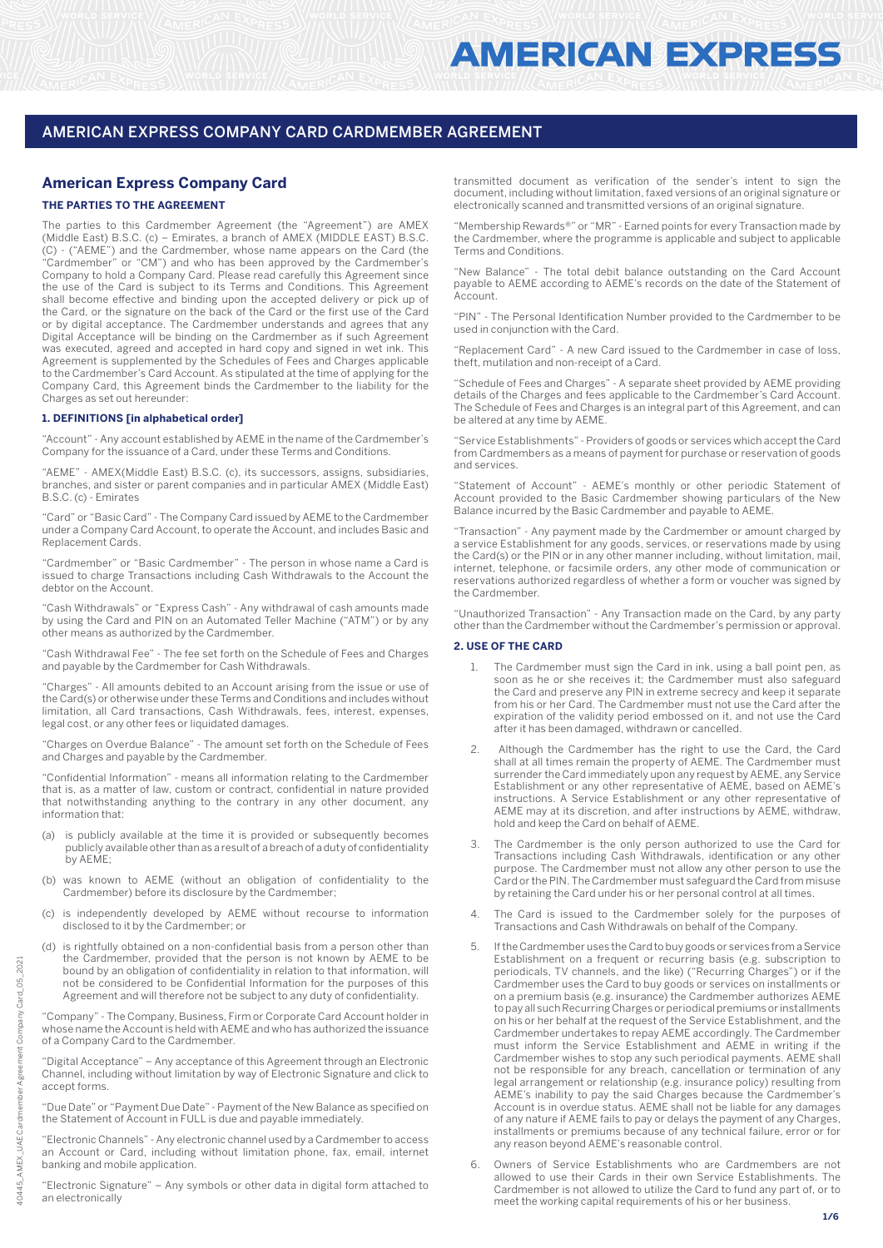# **American Express Company Card**

# **THE PARTIES TO THE AGREEMENT**

The parties to this Cardmember Agreement (the "Agreement") are AMEX (Middle East) B.S.C. (c) – Emirates, a branch of AMEX (MIDDLE EAST) B.S.C. (C) - ("AEME") and the Cardmember, whose name appears on the Card (the "Cardmember" or "CM") and who has been approved by the Cardmember's Company to hold a Company Card. Please read carefully this Agreement since the use of the Card is subject to its Terms and Conditions. This Agreement shall become effective and binding upon the accepted delivery or pick up of the Card, or the signature on the back of the Card or the first use of the Card or by digital acceptance. The Cardmember understands and agrees that any Digital Acceptance will be binding on the Cardmember as if such Agreement was executed, agreed and accepted in hard copy and signed in wet ink. This Agreement is supplemented by the Schedules of Fees and Charges applicable to the Cardmember's Card Account. As stipulated at the time of applying for the Company Card, this Agreement binds the Cardmember to the liability for the Charges as set out hereunder:

## **1. DEFINITIONS [in alphabetical order]**

"Account" - Any account established by AEME in the name of the Cardmember's Company for the issuance of a Card, under these Terms and Conditions.

"AEME" - AMEX(Middle East) B.S.C. (c), its successors, assigns, subsidiaries, branches, and sister or parent companies and in particular AMEX (Middle East) B.S.C. (c) - Emirates

"Card" or "Basic Card" - The Company Card issued by AEME to the Cardmember under a Company Card Account, to operate the Account, and includes Basic and Replacement Cards.

"Cardmember" or "Basic Cardmember" - The person in whose name a Card is issued to charge Transactions including Cash Withdrawals to the Account the debtor on the Account.

"Cash Withdrawals" or "Express Cash" - Any withdrawal of cash amounts made by using the Card and PIN on an Automated Teller Machine ("ATM") or by any other means as authorized by the Cardmember.

"Cash Withdrawal Fee" - The fee set forth on the Schedule of Fees and Charges and payable by the Cardmember for Cash Withdrawals.

"Charges" - All amounts debited to an Account arising from the issue or use of the Card(s) or otherwise under these Terms and Conditions and includes without limitation, all Card transactions, Cash Withdrawals, fees, interest, expenses, legal cost, or any other fees or liquidated damages.

"Charges on Overdue Balance" - The amount set forth on the Schedule of Fees and Charges and payable by the Cardmember.

"Confidential Information" - means all information relating to the Cardmember that is, as a matter of law, custom or contract, confidential in nature provided that notwithstanding anything to the contrary in any other document, any information that:

- (a) is publicly available at the time it is provided or subsequently becomes publicly available other than as a result of a breach of a duty of confidentiality by AEME;
- (b) was known to AEME (without an obligation of confidentiality to the Cardmember) before its disclosure by the Cardmember;
- (c) is independently developed by AEME without recourse to information disclosed to it by the Cardmember; or
- (d) is rightfully obtained on a non-confidential basis from a person other than the Cardmember, provided that the person is not known by AEME to be bound by an obligation of confidentiality in relation to that information, will not be considered to be Confidential Information for the purposes of this Agreement and will therefore not be subject to any duty of confidentiality.

"Company" - The Company, Business, Firm or Corporate Card Account holder in whose name the Account is held with AEME and who has authorized the issuance of a Company Card to the Cardmember.

"Digital Acceptance" – Any acceptance of this Agreement through an Electronic Channel, including without limitation by way of Electronic Signature and click to accept forms.

"Due Date" or "Payment Due Date" - Payment of the New Balance as specified on the Statement of Account in FULL is due and payable immediately.

"Electronic Channels" - Any electronic channel used by a Cardmember to access an Account or Card, including without limitation phone, fax, email, internet banking and mobile application.

"Electronic Signature" – Any symbols or other data in digital form attached to an electronically

transmitted document as verification of the sender's intent to sign the document, including without limitation, faxed versions of an original signature or electronically scanned and transmitted versions of an original signature.

"Membership Rewards®" or "MR" - Earned points for every Transaction made by the Cardmember, where the programme is applicable and subject to applicable Terms and Conditions.

"New Balance" - The total debit balance outstanding on the Card Account payable to AEME according to AEME's records on the date of the Statement of Account.

"PIN" - The Personal Identification Number provided to the Cardmember to be used in conjunction with the Card.

"Replacement Card" - A new Card issued to the Cardmember in case of loss, theft, mutilation and non-receipt of a Card.

"Schedule of Fees and Charges" - A separate sheet provided by AEME providing details of the Charges and fees applicable to the Cardmember's Card Account. The Schedule of Fees and Charges is an integral part of this Agreement, and can be altered at any time by AEME.

"Service Establishments" - Providers of goods or services which accept the Card from Cardmembers as a means of payment for purchase or reservation of goods and services.

"Statement of Account" - AEME's monthly or other periodic Statement of Account provided to the Basic Cardmember showing particulars of the New Balance incurred by the Basic Cardmember and payable to AEME.

"Transaction" - Any payment made by the Cardmember or amount charged by a service Establishment for any goods, services, or reservations made by using the Card(s) or the PIN or in any other manner including, without limitation, mail, internet, telephone, or facsimile orders, any other mode of communication or reservations authorized regardless of whether a form or voucher was signed by the Cardmember.

"Unauthorized Transaction" - Any Transaction made on the Card, by any party other than the Cardmember without the Cardmember's permission or approval.

### **2. USE OF THE CARD**

- 1. The Cardmember must sign the Card in ink, using a ball point pen, as soon as he or she receives it; the Cardmember must also safeguard the Card and preserve any PIN in extreme secrecy and keep it separate from his or her Card. The Cardmember must not use the Card after the expiration of the validity period embossed on it, and not use the Card after it has been damaged, withdrawn or cancelled.
- 2. Although the Cardmember has the right to use the Card, the Card shall at all times remain the property of AEME. The Cardmember must surrender the Card immediately upon any request by AEME, any Service Establishment or any other representative of AEME, based on AEME's instructions. A Service Establishment or any other representative of AEME may at its discretion, and after instructions by AEME, withdraw, hold and keep the Card on behalf of AEME.
- The Cardmember is the only person authorized to use the Card for Transactions including Cash Withdrawals, identification or any other purpose. The Cardmember must not allow any other person to use the Card or the PIN. The Cardmember must safeguard the Card from misuse by retaining the Card under his or her personal control at all times.
- The Card is issued to the Cardmember solely for the purposes of Transactions and Cash Withdrawals on behalf of the Company.
- 5. If the Cardmember uses the Card to buy goods or services from a Service Establishment on a frequent or recurring basis (e.g. subscription to periodicals, TV channels, and the like) ("Recurring Charges") or if the Cardmember uses the Card to buy goods or services on installments or on a premium basis (e.g. insurance) the Cardmember authorizes AEME to pay all such Recurring Charges or periodical premiums or installments on his or her behalf at the request of the Service Establishment, and the Cardmember undertakes to repay AEME accordingly. The Cardmember must inform the Service Establishment and AEME in writing if the Cardmember wishes to stop any such periodical payments. AEME shall not be responsible for any breach, cancellation or termination of any legal arrangement or relationship (e.g. insurance policy) resulting from AEME's inability to pay the said Charges because the Cardmember's Account is in overdue status. AEME shall not be liable for any damages of any nature if AEME fails to pay or delays the payment of any Charges, installments or premiums because of any technical failure, error or for any reason beyond AEME's reasonable control.
- 6. Owners of Service Establishments who are Cardmembers are not allowed to use their Cards in their own Service Establishments. The Cardmember is not allowed to utilize the Card to fund any part of, or to meet the working capital requirements of his or her business.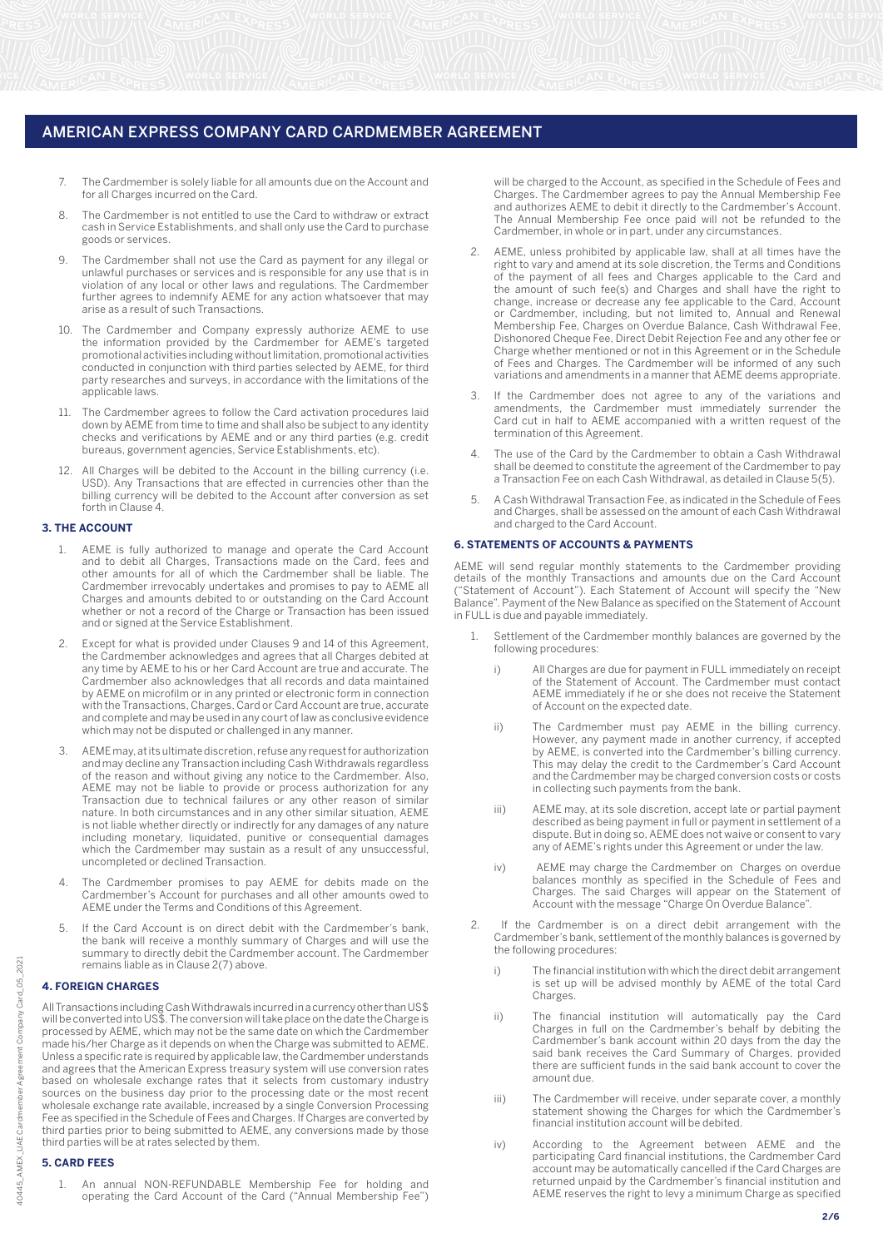- 7. The Cardmember is solely liable for all amounts due on the Account and for all Charges incurred on the Card.
- 8. The Cardmember is not entitled to use the Card to withdraw or extract cash in Service Establishments, and shall only use the Card to purchase goods or services.
- 9. The Cardmember shall not use the Card as payment for any illegal or unlawful purchases or services and is responsible for any use that is in violation of any local or other laws and regulations. The Cardmember further agrees to indemnify AEME for any action whatsoever that may arise as a result of such Transactions.
- 10. The Cardmember and Company expressly authorize AEME to use the information provided by the Cardmember for AEME's targeted promotional activities including without limitation, promotional activities conducted in conjunction with third parties selected by AEME, for third party researches and surveys, in accordance with the limitations of the applicable laws.
- 11. The Cardmember agrees to follow the Card activation procedures laid down by AEME from time to time and shall also be subject to any identity checks and verifications by AEME and or any third parties (e.g. credit bureaus, government agencies, Service Establishments, etc).
- All Charges will be debited to the Account in the billing currency (i.e. USD). Any Transactions that are effected in currencies other than the billing currency will be debited to the Account after conversion as set forth in Clause 4.

## **3. THE ACCOUNT**

- 1. AEME is fully authorized to manage and operate the Card Account and to debit all Charges, Transactions made on the Card, fees and other amounts for all of which the Cardmember shall be liable. The Cardmember irrevocably undertakes and promises to pay to AEME all Charges and amounts debited to or outstanding on the Card Account whether or not a record of the Charge or Transaction has been issued and or signed at the Service Establishment.
- 2. Except for what is provided under Clauses 9 and 14 of this Agreement, the Cardmember acknowledges and agrees that all Charges debited at any time by AEME to his or her Card Account are true and accurate. The Cardmember also acknowledges that all records and data maintained by AEME on microfilm or in any printed or electronic form in connection with the Transactions, Charges, Card or Card Account are true, accurate and complete and may be used in any court of law as conclusive evidence which may not be disputed or challenged in any manner.
- 3. AEME may, at its ultimate discretion, refuse any request for authorization and may decline any Transaction including Cash Withdrawals regardless of the reason and without giving any notice to the Cardmember. Also, AEME may not be liable to provide or process authorization for any Transaction due to technical failures or any other reason of similar nature. In both circumstances and in any other similar situation, AEME is not liable whether directly or indirectly for any damages of any nature including monetary, liquidated, punitive or consequential damages which the Cardmember may sustain as a result of any unsuccessful, uncompleted or declined Transaction.
- 4. The Cardmember promises to pay AEME for debits made on the Cardmember's Account for purchases and all other amounts owed to AEME under the Terms and Conditions of this Agreement.
- If the Card Account is on direct debit with the Cardmember's bank, the bank will receive a monthly summary of Charges and will use the summary to directly debit the Cardmember account. The Cardmember remains liable as in Clause 2(7) above.

#### **4. FOREIGN CHARGES**

All Transactions including Cash Withdrawals incurred in a currency other than US\$ will be converted into US\$. The conversion will take place on the date the Charge is processed by AEME, which may not be the same date on which the Cardmember made his/her Charge as it depends on when the Charge was submitted to AEME. Unless a specific rate is required by applicable law, the Cardmember understands and agrees that the American Express treasury system will use conversion rates based on wholesale exchange rates that it selects from customary industry sources on the business day prior to the processing date or the most recent wholesale exchange rate available, increased by a single Conversion Processing Fee as specified in the Schedule of Fees and Charges. If Charges are converted by third parties prior to being submitted to AEME, any conversions made by those third parties will be at rates selected by them.

### **5. CARD FEES**

1. An annual NON-REFUNDABLE Membership Fee for holding and operating the Card Account of the Card ("Annual Membership Fee") will be charged to the Account, as specified in the Schedule of Fees and Charges. The Cardmember agrees to pay the Annual Membership Fee and authorizes AEME to debit it directly to the Cardmember's Account. The Annual Membership Fee once paid will not be refunded to the Cardmember, in whole or in part, under any circumstances.

- 2. AEME, unless prohibited by applicable law, shall at all times have the right to vary and amend at its sole discretion, the Terms and Conditions of the payment of all fees and Charges applicable to the Card and the amount of such fee(s) and Charges and shall have the right to change, increase or decrease any fee applicable to the Card, Account or Cardmember, including, but not limited to, Annual and Renewal Membership Fee, Charges on Overdue Balance, Cash Withdrawal Fee, Dishonored Cheque Fee, Direct Debit Rejection Fee and any other fee or Charge whether mentioned or not in this Agreement or in the Schedule of Fees and Charges. The Cardmember will be informed of any such variations and amendments in a manner that AEME deems appropriate.
- 3. If the Cardmember does not agree to any of the variations and amendments, the Cardmember must immediately surrender the Card cut in half to AEME accompanied with a written request of the termination of this Agreement.
- The use of the Card by the Cardmember to obtain a Cash Withdrawal shall be deemed to constitute the agreement of the Cardmember to pay a Transaction Fee on each Cash Withdrawal, as detailed in Clause 5(5).
- 5. A Cash Withdrawal Transaction Fee, as indicated in the Schedule of Fees and Charges, shall be assessed on the amount of each Cash Withdrawal and charged to the Card Account.

## **6. STATEMENTS OF ACCOUNTS & PAYMENTS**

AEME will send regular monthly statements to the Cardmember providing details of the monthly Transactions and amounts due on the Card Account ("Statement of Account"). Each Statement of Account will specify the "New Balance". Payment of the New Balance as specified on the Statement of Account in FULL is due and payable immediately.

- Settlement of the Cardmember monthly balances are governed by the following procedures:
	- i) All Charges are due for payment in FULL immediately on receipt of the Statement of Account. The Cardmember must contact AEME immediately if he or she does not receive the Statement of Account on the expected date.
	- ii) The Cardmember must pay AEME in the billing currency. However, any payment made in another currency, if accepted by AEME, is converted into the Cardmember's billing currency. This may delay the credit to the Cardmember's Card Account and the Cardmember may be charged conversion costs or costs in collecting such payments from the bank.
	- iii) AEME may, at its sole discretion, accept late or partial payment described as being payment in full or payment in settlement of a dispute. But in doing so, AEME does not waive or consent to vary any of AEME's rights under this Agreement or under the law.
- iv) AEME may charge the Cardmember on Charges on overdue balances monthly as specified in the Schedule of Fees and Charges. The said Charges will appear on the Statement of Account with the message "Charge On Overdue Balance".
	- 2. If the Cardmember is on a direct debit arrangement with the Cardmember's bank, settlement of the monthly balances is governed by the following procedures:
		- i) The financial institution with which the direct debit arrangement is set up will be advised monthly by AEME of the total Card Charges.
- ii) The financial institution will automatically pay the Card Charges in full on the Cardmember's behalf by debiting the Cardmember's bank account within 20 days from the day the said bank receives the Card Summary of Charges, provided there are sufficient funds in the said bank account to cover the amount due.
	- iii) The Cardmember will receive, under separate cover, a monthly statement showing the Charges for which the Cardmember's financial institution account will be debited.
	- iv) According to the Agreement between AEME and the participating Card financial institutions, the Cardmember Card account may be automatically cancelled if the Card Charges are returned unpaid by the Cardmember's financial institution and AEME reserves the right to levy a minimum Charge as specified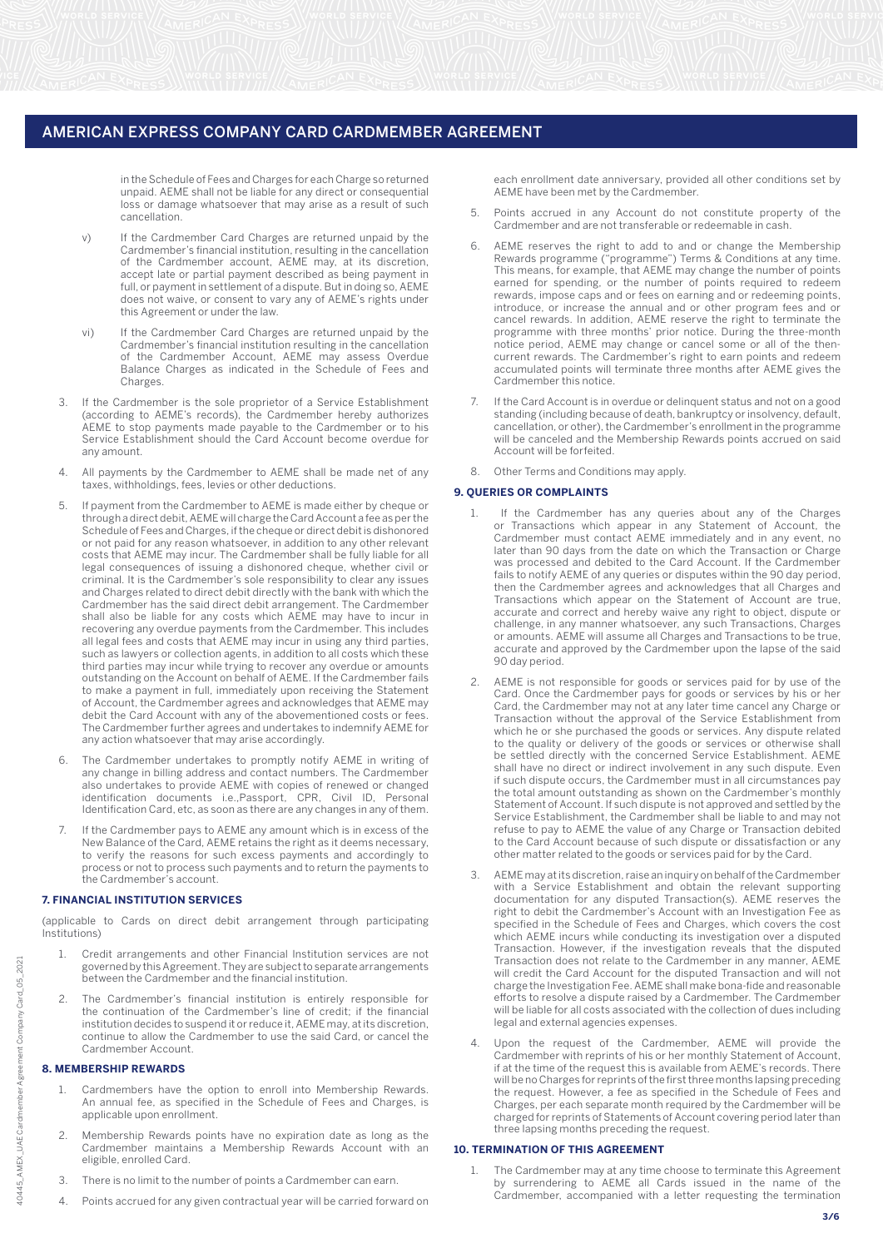in the Schedule of Fees and Charges for each Charge so returned unpaid. AEME shall not be liable for any direct or consequential loss or damage whatsoever that may arise as a result of such cancellation.

- v) If the Cardmember Card Charges are returned unpaid by the Cardmember's financial institution, resulting in the cancellation of the Cardmember account, AEME may, at its discretion, accept late or partial payment described as being payment in full, or payment in settlement of a dispute. But in doing so, AEME does not waive, or consent to vary any of AEME's rights under this Agreement or under the law.
- vi) If the Cardmember Card Charges are returned unpaid by the Cardmember's financial institution resulting in the cancellation of the Cardmember Account, AEME may assess Overdue Balance Charges as indicated in the Schedule of Fees and Charges.
- 3. If the Cardmember is the sole proprietor of a Service Establishment (according to AEME's records), the Cardmember hereby authorizes AEME to stop payments made payable to the Cardmember or to his Service Establishment should the Card Account become overdue for any amount.
- 4. All payments by the Cardmember to AEME shall be made net of any taxes, withholdings, fees, levies or other deductions.
- 5. If payment from the Cardmember to AEME is made either by cheque or through a direct debit, AEME will charge the Card Account a fee as per the Schedule of Fees and Charges, if the cheque or direct debit is dishonored or not paid for any reason whatsoever, in addition to any other relevant costs that AEME may incur. The Cardmember shall be fully liable for all legal consequences of issuing a dishonored cheque, whether civil or criminal. It is the Cardmember's sole responsibility to clear any issues and Charges related to direct debit directly with the bank with which the Cardmember has the said direct debit arrangement. The Cardmember shall also be liable for any costs which AEME may have to incur in recovering any overdue payments from the Cardmember. This includes all legal fees and costs that AEME may incur in using any third parties, such as lawyers or collection agents, in addition to all costs which these third parties may incur while trying to recover any overdue or amounts outstanding on the Account on behalf of AEME. If the Cardmember fails to make a payment in full, immediately upon receiving the Statement of Account, the Cardmember agrees and acknowledges that AEME may debit the Card Account with any of the abovementioned costs or fees. The Cardmember further agrees and undertakes to indemnify AEME for any action whatsoever that may arise accordingly.
- The Cardmember undertakes to promptly notify AEME in writing of any change in billing address and contact numbers. The Cardmember also undertakes to provide AEME with copies of renewed or changed identification documents i.e.,Passport, CPR, Civil ID, Personal Identification Card, etc, as soon as there are any changes in any of them.
- 7. If the Cardmember pays to AEME any amount which is in excess of the New Balance of the Card, AEME retains the right as it deems necessary, to verify the reasons for such excess payments and accordingly to process or not to process such payments and to return the payments to the Cardmember's account.

## **7. FINANCIAL INSTITUTION SERVICES**

(applicable to Cards on direct debit arrangement through participating Institutions)

- 1. Credit arrangements and other Financial Institution services are not governed by this Agreement. They are subject to separate arrangements between the Cardmember and the financial institution.
- 2. The Cardmember's financial institution is entirely responsible for the continuation of the Cardmember's line of credit; if the financial institution decides to suspend it or reduce it, AEME may, at its discretion, continue to allow the Cardmember to use the said Card, or cancel the Cardmember Account.

#### **8. MEMBERSHIP REWARDS**

- Cardmembers have the option to enroll into Membership Rewards. An annual fee, as specified in the Schedule of Fees and Charges, is applicable upon enrollment.
- 2. Membership Rewards points have no expiration date as long as the Cardmember maintains a Membership Rewards Account with an eligible, enrolled Card.
- There is no limit to the number of points a Cardmember can earn.
- 4. Points accrued for any given contractual year will be carried forward on

each enrollment date anniversary, provided all other conditions set by AEME have been met by the Cardmember.

- 5. Points accrued in any Account do not constitute property of the Cardmember and are not transferable or redeemable in cash.
- 6. AEME reserves the right to add to and or change the Membership Rewards programme ("programme") Terms & Conditions at any time. This means, for example, that AEME may change the number of points earned for spending, or the number of points required to redeem rewards, impose caps and or fees on earning and or redeeming points, introduce, or increase the annual and or other program fees and or cancel rewards. In addition, AEME reserve the right to terminate the programme with three months' prior notice. During the three-month notice period, AEME may change or cancel some or all of the thencurrent rewards. The Cardmember's right to earn points and redeem accumulated points will terminate three months after AEME gives the Cardmember this notice.
- 7. If the Card Account is in overdue or delinquent status and not on a good standing (including because of death, bankruptcy or insolvency, default, cancellation, or other), the Cardmember's enrollment in the programme will be canceled and the Membership Rewards points accrued on said Account will be forfeited.
- 8. Other Terms and Conditions may apply.

## **9. QUERIES OR COMPLAINTS**

- If the Cardmember has any queries about any of the Charges or Transactions which appear in any Statement of Account, the Cardmember must contact AEME immediately and in any event, no later than 90 days from the date on which the Transaction or Charge was processed and debited to the Card Account. If the Cardmember fails to notify AEME of any queries or disputes within the 90 day period, then the Cardmember agrees and acknowledges that all Charges and Transactions which appear on the Statement of Account are true, accurate and correct and hereby waive any right to object, dispute or challenge, in any manner whatsoever, any such Transactions, Charges or amounts. AEME will assume all Charges and Transactions to be true, accurate and approved by the Cardmember upon the lapse of the said 90 day period.
- AEME is not responsible for goods or services paid for by use of the Card. Once the Cardmember pays for goods or services by his or her Card, the Cardmember may not at any later time cancel any Charge or Transaction without the approval of the Service Establishment from which he or she purchased the goods or services. Any dispute related to the quality or delivery of the goods or services or otherwise shall be settled directly with the concerned Service Establishment. AEME shall have no direct or indirect involvement in any such dispute. Even if such dispute occurs, the Cardmember must in all circumstances pay the total amount outstanding as shown on the Cardmember's monthly Statement of Account. If such dispute is not approved and settled by the Service Establishment, the Cardmember shall be liable to and may not refuse to pay to AEME the value of any Charge or Transaction debited to the Card Account because of such dispute or dissatisfaction or any other matter related to the goods or services paid for by the Card.
- 3. AEME may at its discretion, raise an inquiry on behalf of the Cardmember with a Service Establishment and obtain the relevant supporting documentation for any disputed Transaction(s). AEME reserves the right to debit the Cardmember's Account with an Investigation Fee as specified in the Schedule of Fees and Charges, which covers the cost which AEME incurs while conducting its investigation over a disputed Transaction. However, if the investigation reveals that the disputed Transaction does not relate to the Cardmember in any manner, AEME will credit the Card Account for the disputed Transaction and will not charge the Investigation Fee. AEME shall make bona-fide and reasonable efforts to resolve a dispute raised by a Cardmember. The Cardmember will be liable for all costs associated with the collection of dues including legal and external agencies expenses.
- 4. Upon the request of the Cardmember, AEME will provide the Cardmember with reprints of his or her monthly Statement of Account, if at the time of the request this is available from AEME's records. There will be no Charges for reprints of the first three months lapsing preceding the request. However, a fee as specified in the Schedule of Fees and Charges, per each separate month required by the Cardmember will be charged for reprints of Statements of Account covering period later than three lapsing months preceding the request.

## **10. TERMINATION OF THIS AGREEMENT**

1. The Cardmember may at any time choose to terminate this Agreement by surrendering to AEME all Cards issued in the name of the Cardmember, accompanied with a letter requesting the termination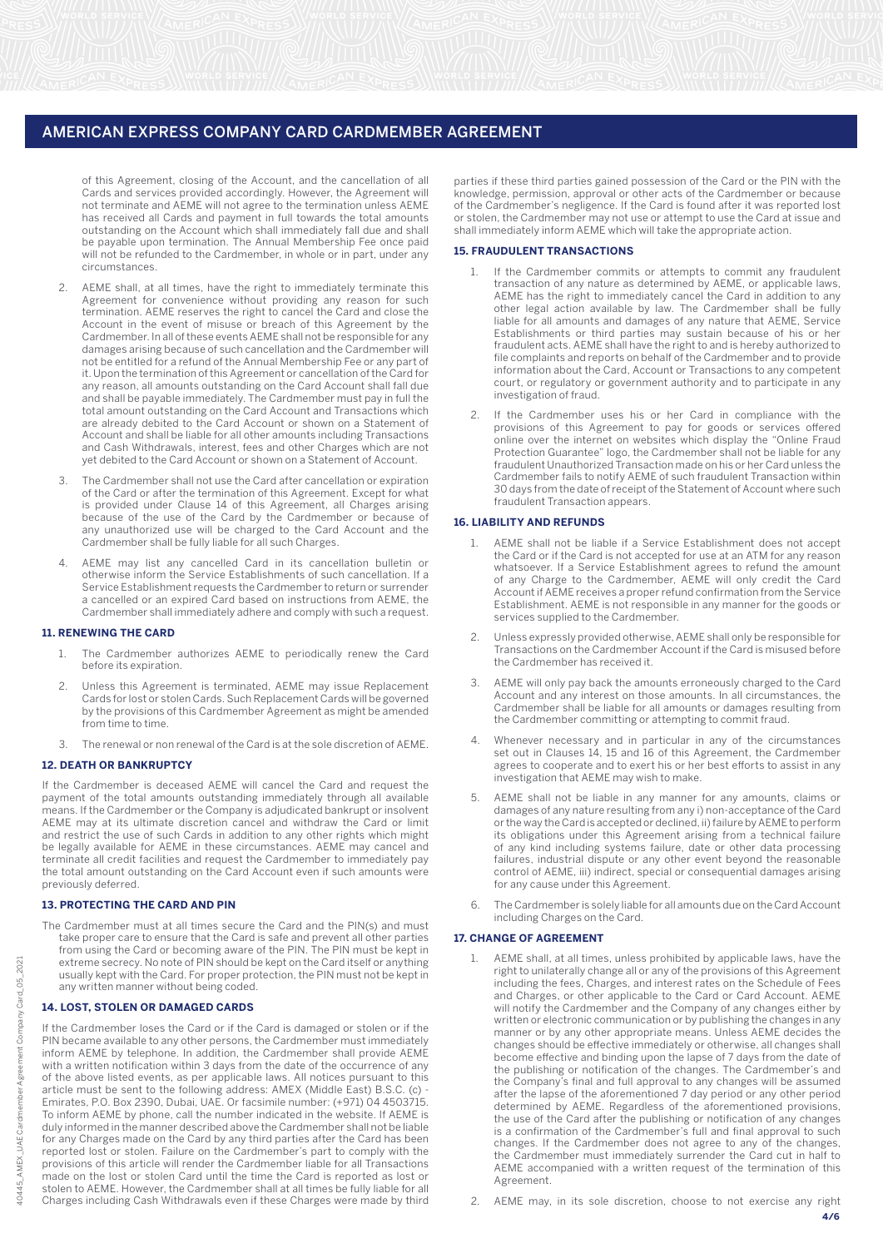of this Agreement, closing of the Account, and the cancellation of all Cards and services provided accordingly. However, the Agreement will not terminate and AEME will not agree to the termination unless AEME has received all Cards and payment in full towards the total amounts outstanding on the Account which shall immediately fall due and shall be payable upon termination. The Annual Membership Fee once paid will not be refunded to the Cardmember, in whole or in part, under any circumstances.

- AEME shall, at all times, have the right to immediately terminate this Agreement for convenience without providing any reason for such termination. AEME reserves the right to cancel the Card and close the Account in the event of misuse or breach of this Agreement by the Cardmember. In all of these events AEME shall not be responsible for any damages arising because of such cancellation and the Cardmember will not be entitled for a refund of the Annual Membership Fee or any part of it. Upon the termination of this Agreement or cancellation of the Card for any reason, all amounts outstanding on the Card Account shall fall due and shall be payable immediately. The Cardmember must pay in full the total amount outstanding on the Card Account and Transactions which are already debited to the Card Account or shown on a Statement of Account and shall be liable for all other amounts including Transactions and Cash Withdrawals, interest, fees and other Charges which are not yet debited to the Card Account or shown on a Statement of Account.
- The Cardmember shall not use the Card after cancellation or expiration of the Card or after the termination of this Agreement. Except for what is provided under Clause 14 of this Agreement, all Charges arising because of the use of the Card by the Cardmember or because of any unauthorized use will be charged to the Card Account and the Cardmember shall be fully liable for all such Charges.
- 4. AEME may list any cancelled Card in its cancellation bulletin or otherwise inform the Service Establishments of such cancellation. If a Service Establishment requests the Cardmember to return or surrender a cancelled or an expired Card based on instructions from AEME, the Cardmember shall immediately adhere and comply with such a request.

### **11. RENEWING THE CARD**

- 1. The Cardmember authorizes AEME to periodically renew the Card before its expiration.
- 2. Unless this Agreement is terminated, AEME may issue Replacement Cards for lost or stolen Cards. Such Replacement Cards will be governed by the provisions of this Cardmember Agreement as might be amended from time to time.
- 3. The renewal or non renewal of the Card is at the sole discretion of AEME.

### **12. DEATH OR BANKRUPTCY**

If the Cardmember is deceased AEME will cancel the Card and request the payment of the total amounts outstanding immediately through all available means. If the Cardmember or the Company is adjudicated bankrupt or insolvent AEME may at its ultimate discretion cancel and withdraw the Card or limit and restrict the use of such Cards in addition to any other rights which might be legally available for AEME in these circumstances. AEME may cancel and terminate all credit facilities and request the Cardmember to immediately pay the total amount outstanding on the Card Account even if such amounts were previously deferred.

#### **13. PROTECTING THE CARD AND PIN**

The Cardmember must at all times secure the Card and the PIN(s) and must take proper care to ensure that the Card is safe and prevent all other parties from using the Card or becoming aware of the PIN. The PIN must be kept in extreme secrecy. No note of PIN should be kept on the Card itself or anything usually kept with the Card. For proper protection, the PIN must not be kept in any written manner without being coded.

#### **14. LOST, STOLEN OR DAMAGED CARDS**

If the Cardmember loses the Card or if the Card is damaged or stolen or if the PIN became available to any other persons, the Cardmember must immediately inform AEME by telephone. In addition, the Cardmember shall provide AEME with a written notification within 3 days from the date of the occurrence of any of the above listed events, as per applicable laws. All notices pursuant to this article must be sent to the following address: AMEX (Middle East) B.S.C. (c) - Emirates, P.O. Box 2390, Dubai, UAE. Or facsimile number: (+971) 04 4503715. To inform AEME by phone, call the number indicated in the website. If AEME is duly informed in the manner described above the Cardmember shall not be liable for any Charges made on the Card by any third parties after the Card has been reported lost or stolen. Failure on the Cardmember's part to comply with the provisions of this article will render the Cardmember liable for all Transactions made on the lost or stolen Card until the time the Card is reported as lost or stolen to AEME. However, the Cardmember shall at all times be fully liable for all Charges including Cash Withdrawals even if these Charges were made by third parties if these third parties gained possession of the Card or the PIN with the knowledge, permission, approval or other acts of the Cardmember or because of the Cardmember's negligence. If the Card is found after it was reported lost or stolen, the Cardmember may not use or attempt to use the Card at issue and shall immediately inform AEME which will take the appropriate action.

#### **15. FRAUDULENT TRANSACTIONS**

- 1. If the Cardmember commits or attempts to commit any fraudulent transaction of any nature as determined by AEME, or applicable laws, AEME has the right to immediately cancel the Card in addition to any other legal action available by law. The Cardmember shall be fully liable for all amounts and damages of any nature that AEME, Service Establishments or third parties may sustain because of his or her fraudulent acts. AEME shall have the right to and is hereby authorized to file complaints and reports on behalf of the Cardmember and to provide information about the Card, Account or Transactions to any competent court, or regulatory or government authority and to participate in any investigation of fraud.
- If the Cardmember uses his or her Card in compliance with the provisions of this Agreement to pay for goods or services offered online over the internet on websites which display the "Online Fraud Protection Guarantee" logo, the Cardmember shall not be liable for any fraudulent Unauthorized Transaction made on his or her Card unless the Cardmember fails to notify AEME of such fraudulent Transaction within 30 days from the date of receipt of the Statement of Account where such fraudulent Transaction appears.

#### **16. LIABILITY AND REFUNDS**

- 1. AEME shall not be liable if a Service Establishment does not accept the Card or if the Card is not accepted for use at an ATM for any reason whatsoever. If a Service Establishment agrees to refund the amount of any Charge to the Cardmember, AEME will only credit the Card Account if AEME receives a proper refund confirmation from the Service Establishment. AEME is not responsible in any manner for the goods or services supplied to the Cardmember.
- 2. Unless expressly provided otherwise, AEME shall only be responsible for Transactions on the Cardmember Account if the Card is misused before the Cardmember has received it.
- 3. AEME will only pay back the amounts erroneously charged to the Card Account and any interest on those amounts. In all circumstances, the Cardmember shall be liable for all amounts or damages resulting from the Cardmember committing or attempting to commit fraud.
- Whenever necessary and in particular in any of the circumstances set out in Clauses 14, 15 and 16 of this Agreement, the Cardmember agrees to cooperate and to exert his or her best efforts to assist in any investigation that AEME may wish to make.
- 5. AEME shall not be liable in any manner for any amounts, claims or damages of any nature resulting from any i) non-acceptance of the Card or the way the Card is accepted or declined, ii) failure by AEME to perform its obligations under this Agreement arising from a technical failure of any kind including systems failure, date or other data processing failures, industrial dispute or any other event beyond the reasonable control of AEME, iii) indirect, special or consequential damages arising for any cause under this Agreement.
- 6. The Cardmember is solely liable for all amounts due on the Card Account including Charges on the Card.

#### **17. CHANGE OF AGREEMENT**

- 1. AEME shall, at all times, unless prohibited by applicable laws, have the right to unilaterally change all or any of the provisions of this Agreement including the fees, Charges, and interest rates on the Schedule of Fees and Charges, or other applicable to the Card or Card Account. AEME will notify the Cardmember and the Company of any changes either by written or electronic communication or by publishing the changes in any manner or by any other appropriate means. Unless AEME decides the changes should be effective immediately or otherwise, all changes shall become effective and binding upon the lapse of 7 days from the date of the publishing or notification of the changes. The Cardmember's and the Company's final and full approval to any changes will be assumed after the lapse of the aforementioned 7 day period or any other period determined by AEME. Regardless of the aforementioned provisions, the use of the Card after the publishing or notification of any changes is a confirmation of the Cardmember's full and final approval to such changes. If the Cardmember does not agree to any of the changes, the Cardmember must immediately surrender the Card cut in half to AEME accompanied with a written request of the termination of this Agreement.
- 2. AEME may, in its sole discretion, choose to not exercise any right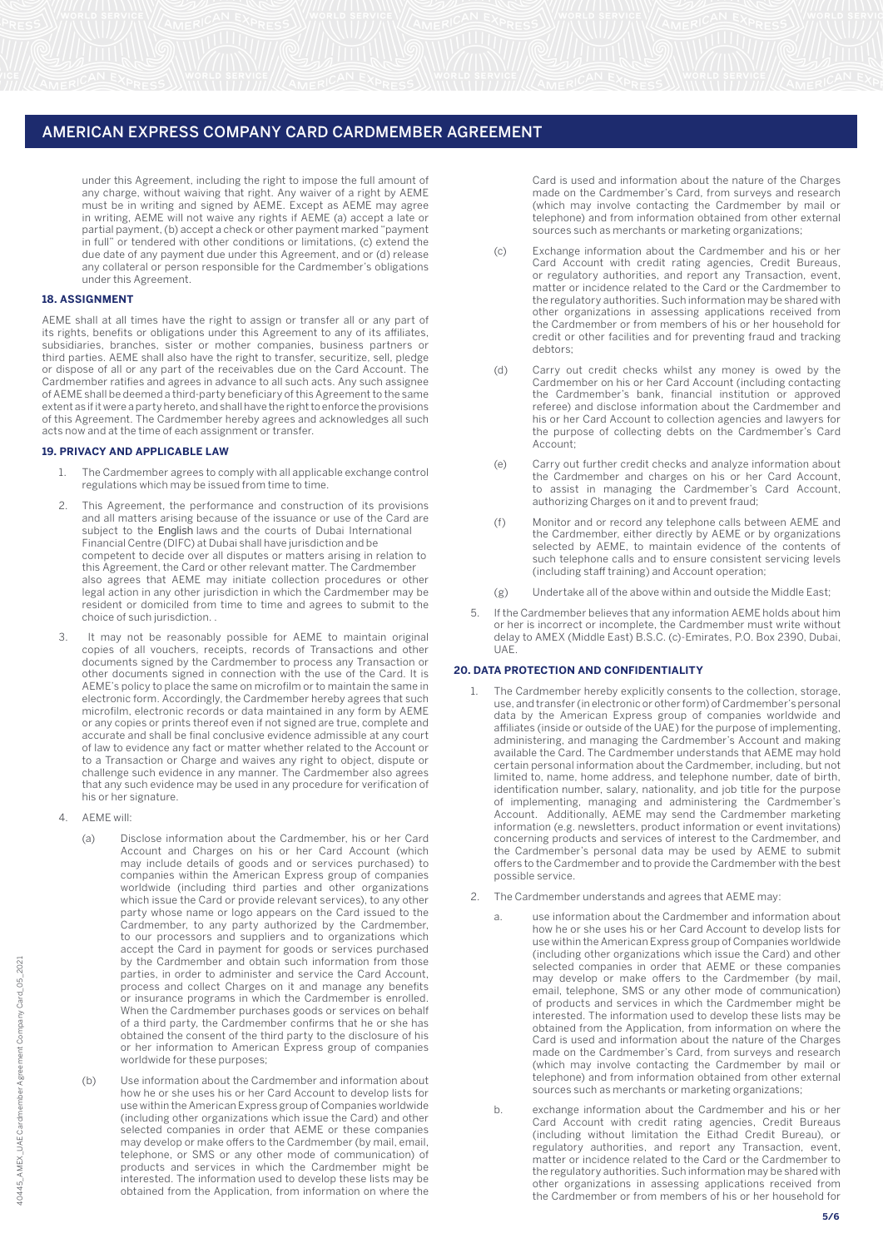under this Agreement, including the right to impose the full amount of any charge, without waiving that right. Any waiver of a right by AEME must be in writing and signed by AEME. Except as AEME may agree in writing, AEME will not waive any rights if AEME (a) accept a late or partial payment, (b) accept a check or other payment marked "payment in full" or tendered with other conditions or limitations, (c) extend the due date of any payment due under this Agreement, and or (d) release any collateral or person responsible for the Cardmember's obligations under this Agreement.

## **18. ASSIGNMENT**

AEME shall at all times have the right to assign or transfer all or any part of its rights, benefits or obligations under this Agreement to any of its affiliates, subsidiaries, branches, sister or mother companies, business partners or third parties. AEME shall also have the right to transfer, securitize, sell, pledge or dispose of all or any part of the receivables due on the Card Account. The Cardmember ratifies and agrees in advance to all such acts. Any such assignee of AEME shall be deemed a third-party beneficiary of this Agreement to the same extent as if it were a party hereto, and shall have the right to enforce the provisions of this Agreement. The Cardmember hereby agrees and acknowledges all such acts now and at the time of each assignment or transfer.

#### **19. PRIVACY AND APPLICABLE LAW**

- 1. The Cardmember agrees to comply with all applicable exchange control regulations which may be issued from time to time.
- $\mathfrak{D}$ This Agreement, the performance and construction of its provisions and all matters arising because of the issuance or use of the Card are subject to the English laws and the courts of Dubai International Financial Centre (DIFC) at Dubai shall have jurisdiction and be competent to decide over all disputes or matters arising in relation to this Agreement, the Card or other relevant matter. The Cardmember also agrees that AEME may initiate collection procedures or other legal action in any other jurisdiction in which the Cardmember may be resident or domiciled from time to time and agrees to submit to the choice of such jurisdiction. .
- 3. It may not be reasonably possible for AEME to maintain original copies of all vouchers, receipts, records of Transactions and other documents signed by the Cardmember to process any Transaction or other documents signed in connection with the use of the Card. It is AEME's policy to place the same on microfilm or to maintain the same in electronic form. Accordingly, the Cardmember hereby agrees that such microfilm, electronic records or data maintained in any form by AEME or any copies or prints thereof even if not signed are true, complete and accurate and shall be final conclusive evidence admissible at any court of law to evidence any fact or matter whether related to the Account or to a Transaction or Charge and waives any right to object, dispute or challenge such evidence in any manner. The Cardmember also agrees that any such evidence may be used in any procedure for verification of his or her signature.
- 4. AEME will:
	- (a) Disclose information about the Cardmember, his or her Card Account and Charges on his or her Card Account (which may include details of goods and or services purchased) to companies within the American Express group of companies worldwide (including third parties and other organizations which issue the Card or provide relevant services), to any other party whose name or logo appears on the Card issued to the Cardmember, to any party authorized by the Cardmember, to our processors and suppliers and to organizations which accept the Card in payment for goods or services purchased by the Cardmember and obtain such information from those parties, in order to administer and service the Card Account, process and collect Charges on it and manage any benefits or insurance programs in which the Cardmember is enrolled. When the Cardmember purchases goods or services on behalf of a third party, the Cardmember confirms that he or she has obtained the consent of the third party to the disclosure of his or her information to American Express group of companies worldwide for these purposes;
	- (b) Use information about the Cardmember and information about how he or she uses his or her Card Account to develop lists for use within the American Express group of Companies worldwide (including other organizations which issue the Card) and other selected companies in order that AEME or these companies may develop or make offers to the Cardmember (by mail, email, telephone, or SMS or any other mode of communication) of products and services in which the Cardmember might be interested. The information used to develop these lists may be obtained from the Application, from information on where the

Card is used and information about the nature of the Charges made on the Cardmember's Card, from surveys and research (which may involve contacting the Cardmember by mail or telephone) and from information obtained from other external sources such as merchants or marketing organizations;

- (c) Exchange information about the Cardmember and his or her Card Account with credit rating agencies, Credit Bureaus, or regulatory authorities, and report any Transaction, event, matter or incidence related to the Card or the Cardmember to the regulatory authorities. Such information may be shared with other organizations in assessing applications received from the Cardmember or from members of his or her household for credit or other facilities and for preventing fraud and tracking debtors;
- (d) Carry out credit checks whilst any money is owed by the Cardmember on his or her Card Account (including contacting the Cardmember's bank, financial institution or approved referee) and disclose information about the Cardmember and his or her Card Account to collection agencies and lawyers for the purpose of collecting debts on the Cardmember's Card Account;
- (e) Carry out further credit checks and analyze information about the Cardmember and charges on his or her Card Account, to assist in managing the Cardmember's Card Account, authorizing Charges on it and to prevent fraud;
- (f) Monitor and or record any telephone calls between AEME and the Cardmember, either directly by AEME or by organizations selected by AEME, to maintain evidence of the contents of such telephone calls and to ensure consistent servicing levels (including staff training) and Account operation;
- (g) Undertake all of the above within and outside the Middle East;
- 5. If the Cardmember believes that any information AEME holds about him or her is incorrect or incomplete, the Cardmember must write without delay to AMEX (Middle East) B.S.C. (c)-Emirates, P.O. Box 2390, Dubai, **UAF**

#### **20. DATA PROTECTION AND CONFIDENTIALITY**

- The Cardmember hereby explicitly consents to the collection, storage, use, and transfer (in electronic or other form) of Cardmember's personal data by the American Express group of companies worldwide and affiliates (inside or outside of the UAE) for the purpose of implementing, administering, and managing the Cardmember's Account and making available the Card. The Cardmember understands that AEME may hold certain personal information about the Cardmember, including, but not limited to, name, home address, and telephone number, date of birth, identification number, salary, nationality, and job title for the purpose of implementing, managing and administering the Cardmember's Account. Additionally, AEME may send the Cardmember marketing information (e.g. newsletters, product information or event invitations) concerning products and services of interest to the Cardmember, and the Cardmember's personal data may be used by AEME to submit offers to the Cardmember and to provide the Cardmember with the best possible service.
- 2. The Cardmember understands and agrees that AEME may:
	- a. use information about the Cardmember and information about how he or she uses his or her Card Account to develop lists for use within the American Express group of Companies worldwide (including other organizations which issue the Card) and other selected companies in order that AEME or these companies may develop or make offers to the Cardmember (by mail, email, telephone, SMS or any other mode of communication) of products and services in which the Cardmember might be interested. The information used to develop these lists may be obtained from the Application, from information on where the Card is used and information about the nature of the Charges made on the Cardmember's Card, from surveys and research (which may involve contacting the Cardmember by mail or telephone) and from information obtained from other external sources such as merchants or marketing organizations;
	- b. exchange information about the Cardmember and his or her Card Account with credit rating agencies, Credit Bureaus (including without limitation the Eithad Credit Bureau), or regulatory authorities, and report any Transaction, event, matter or incidence related to the Card or the Cardmember to the regulatory authorities. Such information may be shared with other organizations in assessing applications received from the Cardmember or from members of his or her household for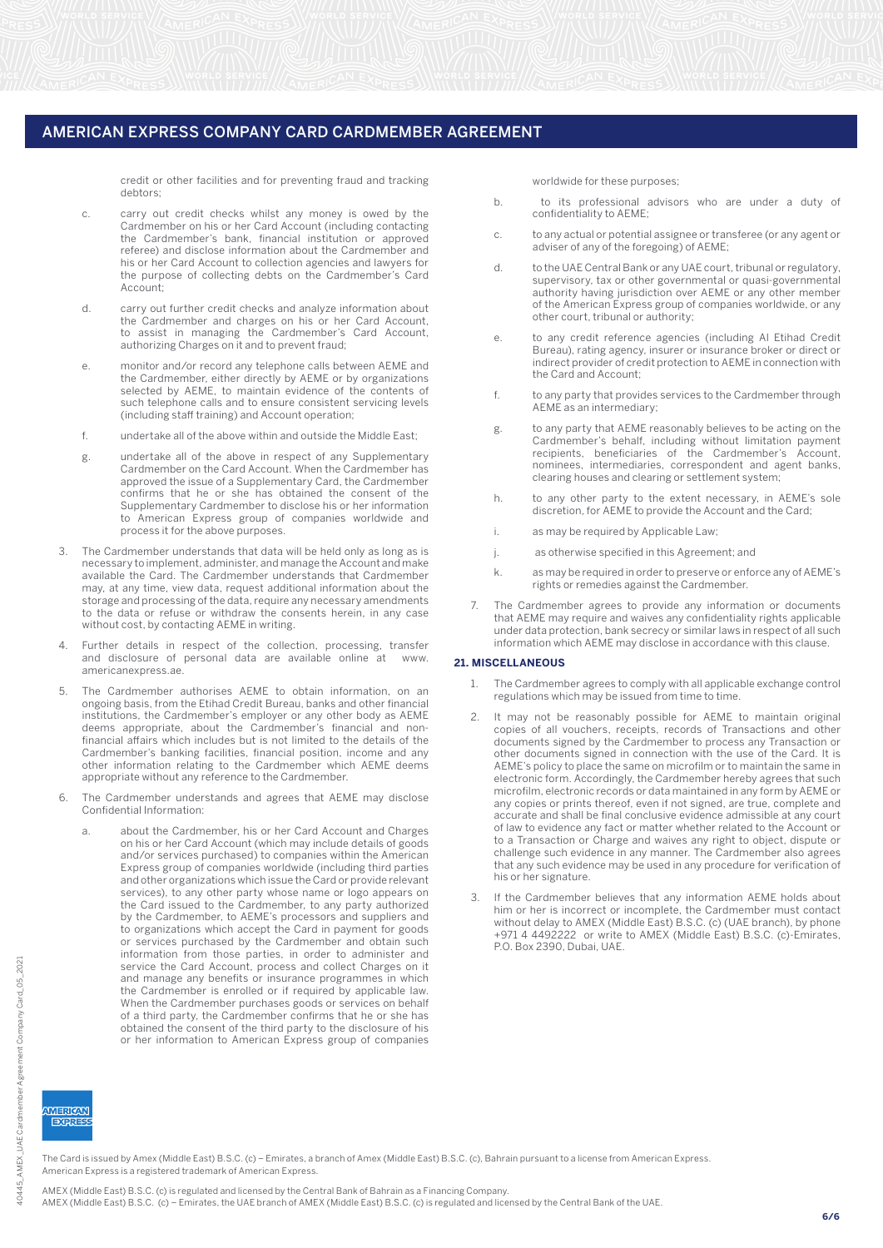credit or other facilities and for preventing fraud and tracking debtors;

- c. carry out credit checks whilst any money is owed by the Cardmember on his or her Card Account (including contacting the Cardmember's bank, financial institution or approved referee) and disclose information about the Cardmember and his or her Card Account to collection agencies and lawyers for the purpose of collecting debts on the Cardmember's Card Account;
- d. carry out further credit checks and analyze information about the Cardmember and charges on his or her Card Account, to assist in managing the Cardmember's Card Account, authorizing Charges on it and to prevent fraud;
- e. monitor and/or record any telephone calls between AEME and the Cardmember, either directly by AEME or by organizations selected by AEME, to maintain evidence of the contents of such telephone calls and to ensure consistent servicing levels (including staff training) and Account operation;
- f. undertake all of the above within and outside the Middle East;
- g. undertake all of the above in respect of any Supplementary Cardmember on the Card Account. When the Cardmember has approved the issue of a Supplementary Card, the Cardmember confirms that he or she has obtained the consent of the Supplementary Cardmember to disclose his or her information to American Express group of companies worldwide and process it for the above purposes.
- 3. The Cardmember understands that data will be held only as long as is necessary to implement, administer, and manage the Account and make available the Card. The Cardmember understands that Cardmember may, at any time, view data, request additional information about the storage and processing of the data, require any necessary amendments to the data or refuse or withdraw the consents herein, in any case without cost, by contacting AEME in writing.
- 4. Further details in respect of the collection, processing, transfer and disclosure of personal data are available online at www. americanexpress.ae.
- 5. The Cardmember authorises AEME to obtain information, on an ongoing basis, from the Etihad Credit Bureau, banks and other financial institutions, the Cardmember's employer or any other body as AEME deems appropriate, about the Cardmember's financial and nonfinancial affairs which includes but is not limited to the details of the Cardmember's banking facilities, financial position, income and any other information relating to the Cardmember which AEME deems appropriate without any reference to the Cardmember.
- 6. The Cardmember understands and agrees that AEME may disclose Confidential Information:
	- a. about the Cardmember, his or her Card Account and Charges on his or her Card Account (which may include details of goods and/or services purchased) to companies within the American Express group of companies worldwide (including third parties and other organizations which issue the Card or provide relevant services), to any other party whose name or logo appears on the Card issued to the Cardmember, to any party authorized by the Cardmember, to AEME's processors and suppliers and to organizations which accept the Card in payment for goods or services purchased by the Cardmember and obtain such information from those parties, in order to administer and service the Card Account, process and collect Charges on it and manage any benefits or insurance programmes in which the Cardmember is enrolled or if required by applicable law. When the Cardmember purchases goods or services on behalf of a third party, the Cardmember confirms that he or she has obtained the consent of the third party to the disclosure of his or her information to American Express group of companies

worldwide for these purposes;

- b. to its professional advisors who are under a duty of confidentiality to AEME;
- c. to any actual or potential assignee or transferee (or any agent or adviser of any of the foregoing) of AEME;
- d. to the UAE Central Bank or any UAE court, tribunal or regulatory, supervisory, tax or other governmental or quasi-governmental authority having jurisdiction over AEME or any other member of the American Express group of companies worldwide, or any other court, tribunal or authority;
- e. to any credit reference agencies (including Al Etihad Credit Bureau), rating agency, insurer or insurance broker or direct or indirect provider of credit protection to AEME in connection with the Card and Account;
- f. to any party that provides services to the Cardmember through AEME as an intermediary;
- g. to any party that AEME reasonably believes to be acting on the Cardmember's behalf, including without limitation payment recipients, beneficiaries of the Cardmember's Account, nominees, intermediaries, correspondent and agent banks, clearing houses and clearing or settlement system;
- h. to any other party to the extent necessary, in AEME's sole discretion, for AEME to provide the Account and the Card;
- i. as may be required by Applicable Law;
- j. as otherwise specified in this Agreement; and
- k. as may be required in order to preserve or enforce any of AEME's rights or remedies against the Cardmember.
- The Cardmember agrees to provide any information or documents that AEME may require and waives any confidentiality rights applicable under data protection, bank secrecy or similar laws in respect of all such information which AEME may disclose in accordance with this clause.

## **21. MISCELLANEOUS**

- 1. The Cardmember agrees to comply with all applicable exchange control regulations which may be issued from time to time.
- 2. It may not be reasonably possible for AEME to maintain original copies of all vouchers, receipts, records of Transactions and other documents signed by the Cardmember to process any Transaction or other documents signed in connection with the use of the Card. It is AEME's policy to place the same on microfilm or to maintain the same in electronic form. Accordingly, the Cardmember hereby agrees that such microfilm, electronic records or data maintained in any form by AEME or any copies or prints thereof, even if not signed, are true, complete and accurate and shall be final conclusive evidence admissible at any court of law to evidence any fact or matter whether related to the Account or to a Transaction or Charge and waives any right to object, dispute or challenge such evidence in any manner. The Cardmember also agrees that any such evidence may be used in any procedure for verification of his or her signature.
- If the Cardmember believes that any information AEME holds about him or her is incorrect or incomplete, the Cardmember must contact without delay to AMEX (Middle East) B.S.C. (c) (UAE branch), by phone +971 4 4492222 or write to AMEX (Middle East) B.S.C. (c)-Emirates, P.O. Box 2390, Dubai, UAE.

The Card is issued by Amex (Middle East) B.S.C. (c) – Emirates, a branch of Amex (Middle East) B.S.C. (c), Bahrain pursuant to a license from American Express. American Express is a registered trademark of American Express.

AMEX (Middle East) B.S.C. (c) is regulated and licensed by the Central Bank of Bahrain as a Financing Company. AMEX (Middle East) B.S.C. (c) – Emirates, the UAE branch of AMEX (Middle East) B.S.C. (c) is regulated and licensed by the Central Bank of the UAE.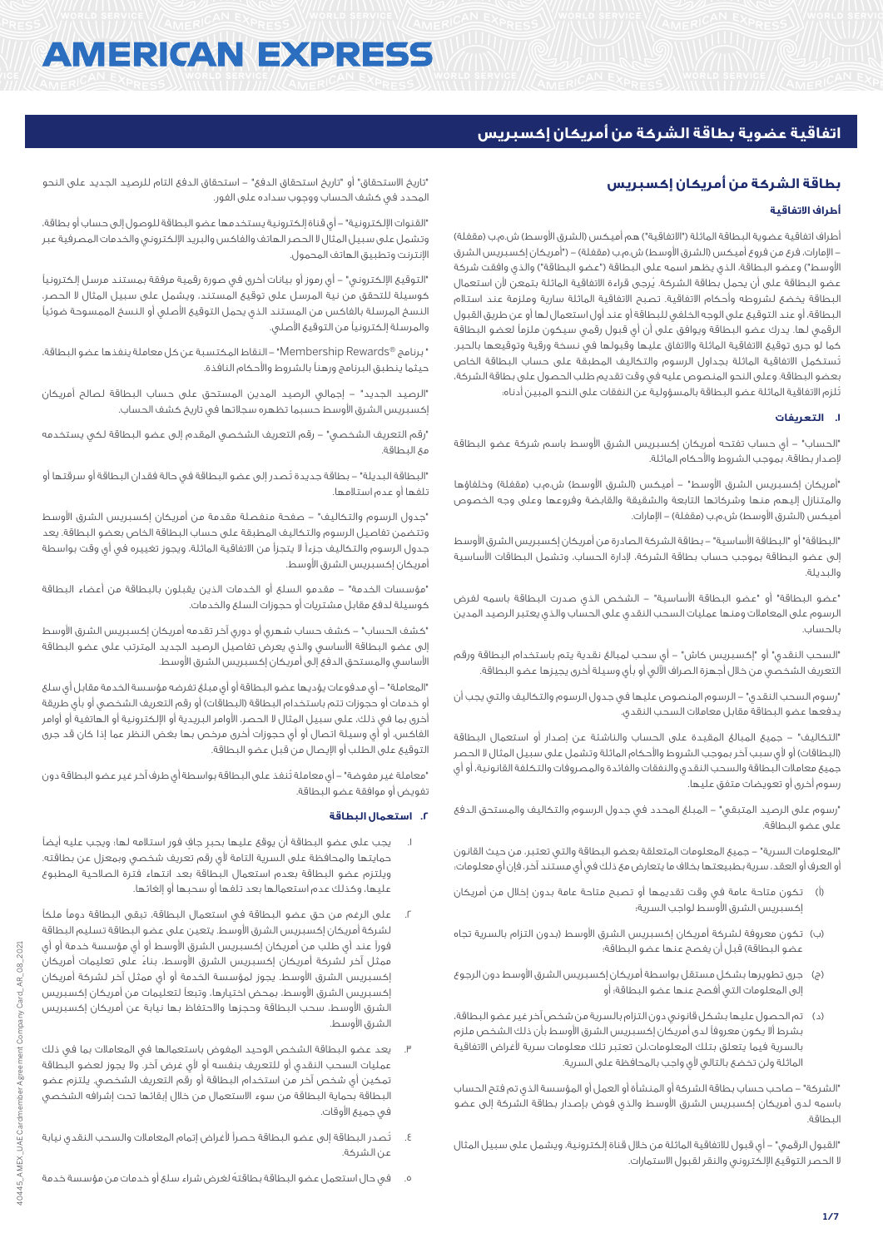# **AMERICAN EXPRESS**

# **اتفاقية عضوية بطاقة الشركة من أمريكان إكسبريس**

# **بطاقة الشركة من أمريكان إكسبريس**

# **أطراف االتفاقية**

أطراف اتفاقية عضوية البطاقة الماثلة ("الاتفاقية") هم أميكس (الشرق الأوسط) ش.م.ب (مقفلة) - الإمارات، فرع من فروع أميكس (الشرق الأوسط) ش.م.ب (مقفلة) – ("أمريكان إكسبريس الشرق الأوسط") وعضو البطاقة، الذي يظهر اسمه على البطاقة ("عضو البطاقة") والذي وافقت شركة عضو البطاقة على أن يحمل بطاقة الشركة. يُرجى قراءة االتفاقية الماثلة بتمعن ألن استعمال البطاقة يخضع لشروطه وأحكام االتفاقية. تصبح االتفاقية الماثلة سارية وملزمة عند استالم البطاقة، أو عند التوقيع على الوجه الخلفي للبطاقة أو عند أول استعمال لها أو عن طريق القبول الرقمي لها. يدرك عضو البطاقة ويوافق على أن أي قبول رقمي سيكون ملزماً لعضو البطاقة كما لو جرى توقيع االتفاقية الماثلة واالتفاق عليها وقبولها في نسخة ورقية وتوقيعها بالحبر. تُستكمل االتفاقية الماثلة بجداول الرسوم والتكاليف المطبقة على حساب البطاقة الخاص بعضو البطاقة. وعلى النحو المنصوص عليه في وقت تقديم طلب الحصول على بطاقة الشركة، تُلزم االتفاقية الماثلة عضو البطاقة بالمسؤولية عن النفقات على النحو المبين أدناه:

## **.1 التعريفات**

"الحساب" - أي حساب تفتحه أمريكان إكسبريس الشرق األوسط باسم شركة عضو البطاقة إلصدار بطاقة، بموجب الشروط واألحكام الماثلة.

"أمريكان إكسبريس الشرق الأوسط" – أميكس (الشرق الأوسط) ش.م.ب (مقفلة) وخلفاؤها والمتنازل إليهم منها وشركاتها التابعة والشقيقة والقابضة وفروعها وعلى وجه الخصوص أميكس (الشرق الأوسط) ش.م.ب (مقفلة) – الإمارات.

"البطاقة" أو "البطاقة األساسية" - بطاقة الشركة الصادرة من أمريكان إكسبريس الشرق األوسط إلى عضو البطاقة بموجب حساب بطاقة الشركة، إلدارة الحساب، وتشمل البطاقات األساسية والبديلة.

"عضو البطاقة" أو "عضو البطاقة األساسية" - الشخص الذي صدرت البطاقة باسمه لفرض الرسوم على المعامالت ومنها عمليات السحب النقدي على الحساب والذي يعتبر الرصيد المدين بالحساب.

"السحب النقدي" أو "إكسبريس كاش" - أي سحب لمبالغ نقدية يتم باستخدام البطاقة ورقم التعريف الشخصي من خالل أجهزة الصراف اآللي أو بأي وسيلة أخرى يجيزها عضو البطاقة.

"رسوم السحب النقدي" - الرسوم المنصوص عليها في جدول الرسوم والتكاليف والتي يجب أن يدفعها عضو البطاقة مقابل معامالت السحب النقدي.

"التكاليف" - جميع المبالغ المقيدة على الحساب والناشئة عن إصدار أو استعمال البطاقة (البطاقات) أو لأي سبب آخر بموجب الشروط والأحكام الماثلة وتشمل على سبيل المثال لا الحصر جميع معامالت البطاقة والسحب النقدي والنفقات والفائدة والمصروفات والتكلفة القانونية، أو أي رسوم أخرى أو تعويضات متفق عليها.

"رسوم على الرصيد المتبقي" - المبلغ المحدد في جدول الرسوم والتكاليف والمستحق الدفع على عضو البطاقة.

"المعلومات السرية" - جميع المعلومات المتعلقة بعضو البطاقة والتي تعتبر، من حيث القانون أو العرف أو العقد، سرية بطبيعتها بخالف ما يتعارض مع ذلك في أي مستند آخر، فإن أي معلومات:

- )أ( تكون متاحة عامة في وقت تقديمها أو تصبح متاحة عامة بدون إخالل من أمريكان إكسبريس الشرق األوسط لواجب السرية؛
- )ب( تكون معروفة لشركة أمريكان إكسبريس الشرق األوسط )بدون التزام بالسرية تجاه عضو البطاقة) قبل أن يفصح عنها عضو البطاقة؛
- )ج( جرى تطويرها بشكل مستقل بواسطة أمريكان إكسبريس الشرق األوسط دون الرجوع إلى المعلومات التي أفصح عنها عضو البطاقة؛ أو
- )د( تم الحصول عليها بشكل قانوني دون التزام بالسرية من شخص آخر غير عضو البطاقة، بشرط أال يكون معروفاً لدى أمريكان إكسبريس الشرق األوسط بأن ذلك الشخص ملزم بالسرية فيما يتعلق بتلك المعلومات،لن تعتبر تلك معلومات سرية ألغراض االتفاقية الماثلة ولن تخضع بالتالي ألي واجب بالمحافظة على السرية.

"الشركة" - صاحب حساب بطاقة الشركة أو المنشأة أو العمل أو المؤسسة الذي تم فتح الحساب باسمه لدى أمريكان إكسبريس الشرق األوسط والذي فوض بإصدار بطاقة الشركة إلى عضو البطاقة.

"القبول الرقمي" - أي قبول لالتفاقية الماثلة من خالل قناة إلكترونية، ويشمل على سبيل المثال ال الحصر التوقيع اإللكتروني والنقر لقبول االستمارات.

"تاريخ االستحقاق" أو "تاريخ استحقاق الدفع" - استحقاق الدفع التام للرصيد الجديد على النحو المحدد في كشف الحساب ووجِوب سداده على الفور.

"القنوات اإللكترونية" - أي قناة إلكترونية يستخدمها عضو البطاقة للوصول إلى حساب أو بطاقة، وتشمل على سبيل المثال ال الحصر الهاتف والفاكس والبريد اإللكتروني والخدمات المصرفية عبر اإلنترنت وتطبيق الهاتف المحمول.

"التوقيع اإللكتروني" - أي رموز أو بيانات أخرى في صورة رقمية مرفقة بمستند مرسل إلكترونياً كوسيلة للتحقق من نية المرسل على توقيع المستند، ويشمل على سبيل المثال ال الحصر، النسخ المرسلة بالفاكس من المستند الذي يحمل التوقيع األصلي أو النسخ الممسوحة ضوئياً والمرسلة إلكترونياً من التوقيع األصلي.

" برنامج RRewards Membership "- النقاط المكتسبة عن كل معاملة ينفذها عضو البطاقة، حيثما ينطبق البرنامج ورهناً بالشروط واألحكام النافذة.

"الرصيد الجديد" - إجمالي الرصيد المدين المستحق على حساب البطاقة لصالح أمريكان إكسبريس الشرق األوسط حسبما تظهره سجالتها في تاريخ كشف الحساب.

"رقم التعريف الشخصي" - رقم التعريف الشخصي المقدم إلى عضو البطاقة لكي يستخدمه مع البطاقة.

"البطاقة البديلة" - بطاقة جديدة تُصدر إلى عضو البطاقة في حالة فقدان البطاقة أو سرقتها أو تلفها أو عدم استالمها.

"جدول الرسوم والتكاليف" - صفحة منفصلة مقدمة من أمريكان إكسبريس الشرق األوسط وتتضمن تفاصيل الرسوم والتكاليف المطبقة على حساب البطاقة الخاص بعضو البطاقة. يعد جدول الرسوم والتكاليف جزءاً ال يتجزأ من االتفاقية الماثلة، ويجوز تغييره في أي وقت بواسطة أمريكان إكسبريس الشرق الأوسط.

"مؤسسات الخدمة" - مقدمو السلع أو الخدمات الذين يقبلون بالبطاقة من أعضاء البطاقة كوسيلة لدفع مقابل مشتريات أو حجوزات السلع والخدمات.

"كشف الحساب" - كشف حساب شهري أو دوري آخر تقدمه أمريكان إكسبريس الشرق األوسط إلى عضو البطاقة األساسي والذي يعرض تفاصيل الرصيد الجديد المترتب على عضو البطاقة الأساسي والمستحق الدفع إلى أمريكان إكسبريس الشرق الأوسط.

"المعاملة" - أي مدفوعات يؤديها عضو البطاقة أو أي مبلغ تفرضه مؤسسة الخدمة مقابل أي سلع أو خدمات أو حجوزات تتم باستخدام البطاقة (البطاقات) أو رقم التعريف الشخصي أو بأي طريقة أخرى بما في ذلك، على سبيل المثال ال الحصر، األوامر البريدية أو اإللكترونية أو الهاتفية أو أوامر الفاكس، أو أي وسيلة اتصال أو أي حجوزات أخرى مرخص بها بغض النظر عما إذا كان قد جرى التوقيع على الطلب أو اإليصال من قبل عضو البطاقة.

"معاملة غير مفوضة" - أي معاملة تُنفذ على البطاقة بواسطة أي طرف آخر غير عضو البطاقة دون تفويض أو موافقة عضو البطاقة.

### **.2 استعمال البطاقة**

- .1 يجب على عضو البطاقة أن يوقع عليها بحبرٍ جافٍ فور استالمه لها؛ ويجب عليه أيضاً حمايتها والمحافظة على السرية التامة ألي رقم تعريف شخصي وبمعزل عن بطاقته. ويلتزم عضو البطاقة بعدم استعمال البطاقة بعد انتهاء فترة الصالحية المطبوع عليها، وكذلك عدم استعمالها بعد تلفها أو سحبها أو إلغائها.
- .2 على الرغم من حق عضو البطاقة في استعمال البطاقة، تبقى البطاقة دوماً ملكاً لشركة أمريكان إكسبريس الشرق األوسط. يتعين على عضو البطاقة تسليم البطاقة فوراً عند أي طلب من أمريكان إكسبريس الشرق األوسط أو أي مؤسسة خدمة أو أي ممثل آخر لشركة أمريكان إكسبريس الشرق األوسط، بناءً على تعليمات أمريكان إكسبريس الشرق األوسط. يجوز لمؤسسة الخدمة أو أي ممثل آخر لشركة أمريكان إكسبريس الشرق األوسط، بمحض اختيارها، وتبعاً لتعليمات من أمريكان إكسبريس الشرق الأوسط، سحب البطاقة وحجزها والاحتفاظ بها نيابة عن أمريكان إكسبريس الشرق األوسط.
- .3 يعد عضو البطاقة الشخص الوحيد المفوض باستعمالها في المعامالت بما في ذلك عمليات السحب النقدي أو للتعريف بنفسه أو ألي غرض آخر. وال يجوز لعضو البطاقة تمكين أي شخص آخر من استخدام البطاقة أو رقم التعريف الشخصي. يلتزم عضو البطاقة بحماية البطاقة من سوء االستعمال من خالل إبقائها تحت إشرافه الشخصي في جميع الأوقات.
- .4 تُصدر البطاقة إلى عضو البطاقة حصراً ألغراض إتمام المعامالت والسحب النقدي نيابة عن الشركة.
- .5 في حال استعمل عضو البطاقة بطاقتهُ لغرض شراء سلع أو خدمات من مؤسسة خدمة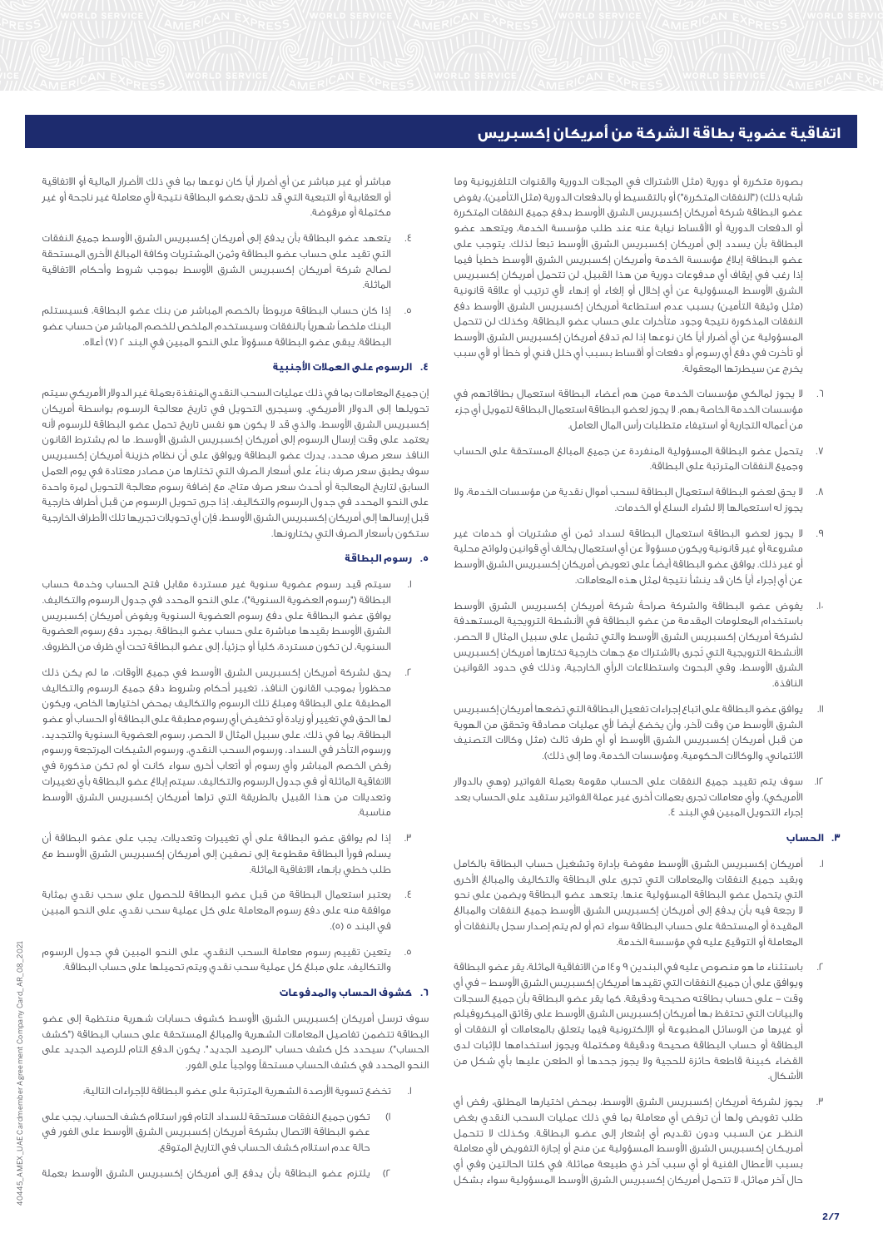بصورة متكررة أو دورية (مثل الاشتراك في المجلات الدورية والقنوات التلفزيونية وما شابه ذلك) ("النفقات المتكررة") أو بالتقسيط أو بالدفعات الدورية (مثل التأمين)، يفوض عضو البطاقة شركة أمريكان إكسبريس الشرق الأوسط بدفع جميع النفقات المتكررة أو الدفعات الدورية أو األقساط نيابة عنه عند طلب مؤسسة الخدمة، ويتعهد عضو البطاقة بأن يسدد إلى أمريكان إكسبريس الشرق األوسط تبعاً لذلك. يتوجب على عضو البطاقة إبالغ مؤسسة الخدمة وأمريكان إكسبريس الشرق األوسط خطياً فيما إذا رغب في إيقاف أي مدفوعات دورية من هذا القبيل. لن تتحمل أمريكان إكسبريس الشرق الأوسط المسؤولية عن أي إخلال أو إلغاء أو إنهاء لأي ترتيب أو علاقة قانونية (مثل وثيقة التأمين) بسبب عدم استطاعة أمريكان إكسبريس الشرق الأوسط دفع النفقات المذكورة نتيجة وجود متأخرات على حساب عضو البطاقة. وكذلك لن تتحمل المسؤولية عن أي أضرار أياً كان نوعها إذا لم تدفع أمريكان إكسبريس الشرق األوسط أو تأخرت في دفع أي رسوم أو دفعات أو أقساط بسبب أي خلل فني أو خطأ أو لأي سبب يخرج عن سيطرتها المعقولة.

- .6 ال يجوز لمالكي مؤسسات الخدمة ممن هم أعضاء البطاقة استعمال بطاقاتهم في مؤسسات الخدمة الخاصة بهم. ال يجوز لعضو البطاقة استعمال البطاقة لتمويل أي جزء من أعماله التجارية أو استيفاء متطلبات رأس المال العامل.
- .7 يتحمل عضو البطاقة المسؤولية المنفردة عن جميع المبالغ المستحقة على الحساب وجميع النفقات المترتبة على البطاقة.
- .8 ال يحق لعضو البطاقة استعمال البطاقة لسحب أموال نقدية من مؤسسات الخدمة، وال يجوز له استعمالها إال لشراء السلع أو الخدمات.
- .9 ال يجوز لعضو البطاقة استعمال البطاقة لسداد ثمن أي مشتريات أو خدمات غير مشروعة أو غير قانونية ويكون مسؤوالً عن أي استعمال يخالف أي قوانين ولوائح محلية أو غير ذلك. يوافق عضو البطاقة أيضاً على تعويض أمريكان إكسبريس الشرق األوسط عن أي إجراء أياً كان قد ينشأ نتيجة لمثل هذه المعامالت.
- .ا. يفوض عضو البطاقة والشركة صراحةً شركة أمريكان إكسبريس الشرق الأوسط باستخدام المعلومات المقدمة من عضو البطاقة في األنشطة الترويجية المستهدفة لشركة أمريكان إكسبريس الشرق األوسط والتي تشمل على سبيل المثال ال الحصر، األنشطة الترويجية التي تُجرى باالشتراك مع جهات خارجية تختارها أمريكان إكسبريس الشرق األوسط، وفي البحوث واستطالعات الرأي الخارجية، وذلك في حدود القوانين النافذة.
- .11 يوافق عضو البطاقة على اتباع إجراءات تفعيل البطاقة التي تضعها أمريكان إكسبريس الشرق األوسط من وقت آلخر، وأن يخضع أيضاً ألي عمليات مصادقة وتحقق من الهوية من قبل أمريكان إكسبريس الشرق الأوسط أو أي طرف ثالث (مثل وكالات التصنيف الائتماني، والوكالات الحكومية، ومؤسسات الخدمة، وما إلى ذلك).
- .12 سوف يتم تقييد جميع النفقات على الحساب مقومة بعملة الفواتير )وهي بالدوالر الأمريكي). وأي معاملات تجرى بعملات أخرى غير عملة الفواتير ستقيد على الحساب بعد إجراء التحويل المبين في البند .4

# **.3 الحساب**

- .1 أمريكان إكسبريس الشرق األوسط مفوضة بإدارة وتشغيل حساب البطاقة بالكامل وبقيد جميع النفقات والمعامالت التي تجرى على البطاقة والتكاليف والمبالغ األخرى التي يتحمل عضو البطاقة المسؤولية عنها. يتعهد عضو البطاقة ويضمن على نحو ال رجعة فيه بأن يدفع إلى أمريكان إكسبريس الشرق األوسط جميع النفقات والمبالغ المقيدة أو المستحقة على حساب البطاقة سواء تم أو لم يتم إصدار سجل بالنفقات أو المعاملة أو التوقيع عليه في مؤسسة الخدمة.
- .2 باستثناء ما هو منصوص عليه في البندين 9 و14 من االتفاقية الماثلة، يقر عضو البطاقة ويوافق على أن جميع النفقات التي تقيدها أمريكان إكسبريس الشرق الأوسط – في أي وقت - على حساب بطاقته صحيحة ودقيقة. كما يقر عضو البطاقة بأن جميع السجالت والبيانات التي تحتفظ بها أمريكان إكسبريس الشرق األوسط على رقائق الميكروفيلم أو غيرها من الوسائل المطبوعة أو اإللكترونية فيما يتعلق بالمعامالت أو النفقات أو البطاقة أو حساب البطاقة صحيحة ودقيقة ومكتملة ويجوز استخدامها لإلثبات لدى القضاء كبينة قاطعة حائزة للحجية وال يجوز جحدها أو الطعن عليها بأي شكل من األشكال.
- .3 يجوز لشركة أمريكان إكسبريس الشرق األوسط، بمحض اختيارها المطلق، رفض أي طلب تفويض ولها أن ترفض أي معاملة بما في ذلك عمليات السحب النقدي بغض النظــر عن السـبب ودون تقـديم أي إشعار إلى عضـو البطاقـة. وكـذلك ال تتحـمل أمـريـكـان إكسبـريس الشـرق الأوسط المسؤولية عن منح أو إجازة التفويض لأي معاملة بسبب األعطال الفنية أو أي سبب آخر ذي طبيعة مماثلة. في كلتا الحالتين وفي أي حال آخر مماثل، ال تتحمل أمريكان إكسبريس الشرق األوسط المسؤولية سواء بشكل

مباشر أو غير مباشر عن أي أضرار أياً كان نوعها بما في ذلك األضرار المالية أو االتفاقية أو العقابية أو التبعية التي قد تلحق بعضو البطاقة نتيجة ألي معاملة غير ناجحة أو غير مكتملة أو مرفوضة.

- .4 يتعهد عضو البطاقة بأن يدفع إلى أمريكان إكسبريس الشرق األوسط جميع النفقات التي تقيد على حساب عضو البطاقة وثمن المشتريات وكافة المبالغ األخرى المستحقة لصالح شركة أمريكان إكسبريس الشرق األوسط بموجب شروط وأحكام االتفاقية الماثلة.
- .5 إذا كان حساب البطاقة مربوطاً بالخصم المباشر من بنك عضو البطاقة، فسيستلم البنك ملخصاً شهرياً بالنفقات وسيستخدم الملخص للخصم المباشر من حساب عضو البطاقة. يبقى عضو البطاقة مسؤوالً على النحو المبين في البند 2 )7( أعاله.

# **.4 الرسوم على العمالت األجنبية**

إن جميع المعامالت بما في ذلك عمليات السحب النقدي المنفذة بعملة غير الدوالر األمريكي سيتم تحويلها إلى الدوالر األمريكي. وسيجرى التحويل في تاريخ معالجة الرسـوم بواسطة أمريكان إكسبريس الشرق األوسط، والذي قد ال يكون هو نفس تاريخ تحمل عضو البطاقة للرسوم ألنه يعتمد على وقت إرسال الرسوم إلى أمريكان إكسبريس الشرق األوسط. ما لم يشترط القانون النافذ سعر صرف محدد، يدرك عضو البطاقة ويوافق على أن نظام خزينة أمريكان إكسبريس سوف يطبق سعر صرف بناءً على أسعار الصرف التي تختارها من مصادر معتادة في يوم العمل السابق لتاريخ المعالجة أو أحدث سعر صرف متاح، مع إضافة رسوم معالجة التحويل لمرة واحدة على النحو المحدد في جدول الرسوم والتكاليف. إذا جرى تحويل الرسوم من قبل أطراف خارجية قبل إرسالها إلى أمريكان إكسبريس الشرق الأوسط، فإن أي تحويلات تجريها تلك الأطراف الخارجية ستكون بأسعار الصرف التي يختارونها.

## **.5 رسوم البطاقة**

- سيتم قيد رسوم عضوية سنوية غير مستردة مقابل فتح الحساب وخدمة حساب البطاقة ("رسوم العضوية السنوية")، على النحو المحدد في جدول الرسوم والتكاليف. يوافق عضو البطاقة على دفع رسوم العضوية السنوية ويفوض أمريكان إكسبريس الشرق األوسط بقيدها مباشرة على حساب عضو البطاقة. بمجرد دفع رسوم العضوية السنوية، لن تكون مستردة، كلياً أو جزئيا،ً إلى عضو البطاقة تحت أي ظرف من الظروف.
- يحق لشركة أمريكان إكسبريس الشرق الأوسط في جميع الأوقات، ما لم يكن ذلك محظوراً بموجب القانون النافذ، تغيير أحكام وشروط دفع جميع الرسوم والتكاليف المطبقة على البطاقة ومبلغ تلك الرسوم والتكاليف بمحض اختيارها الخاص، ويكون لها الحق في تغيير أو زيادة أو تخفيض أي رسوم مطبقة على البطاقة أو الحساب أو عضو البطاقة، بما في ذلك، على سبيل المثال ال الحصر، رسوم العضوية السنوية والتجديد، ورسوم التأخر في السداد، ورسوم السحب النقدي، ورسوم الشيكات المرتجعة ورسوم رفض الخصم المباشر وأي رسوم أو أتعاب أخرى سواء كانت أو لم تكن مذكورة في االتفاقية الماثلة أو في جدول الرسوم والتكاليف. سيتم إبالغ عضو البطاقة بأي تغييرات وتعديالت من هذا القبيل بالطريقة التي تراها أمريكان إكسبريس الشرق األوسط مناسبة.
- .3 إذا لم يوافق عضو البطاقة على أي تغييرات وتعديالت، يجب على عضو البطاقة أن يسلم فوراً البطاقة مقطوعة إلى نصفين إلى أمريكان إكسبريس الشرق األوسط مع طلب خطي بإنهاء االتفاقية الماثلة.
- .4 يعتبر استعمال البطاقة من قبل عضو البطاقة للحصول على سحب نقدي بمثابة موافقة منه على دفع رسوم المعاملة على كل عملية سحب نقدي، على النحو المبين في البند ٥ (٥).
- .5 يتعين تقييم رسوم معاملة السحب النقدي، على النحو المبين في جدول الرسوم والتكاليف، على مبلغ كل عملية سحب نقدي ويتم تحميلها على حساب البطاقة.

#### **.6 كشوف الحساب والمدفوعات**

سوف ترسل أمريكان إكسبريس الشرق األوسط كشوف حسابات شهرية منتظمة إلى عضو البطاقة تتضمن تفاصيل المعامالت الشهرية والمبالغ المستحقة على حساب البطاقة )"كشف الحساب"). سيحدد كل كشف حساب "الرصيد الجديد". يكون الدفع التام للرصيد الجديد على النحو المحدد في كشف الحساب مستحقاً وواجباً على الفور.

- تخضع تسوية الأرصدة الشهرية المترتبة على عضو البطاقة للإجراءات التالية؛
- 1( تكون جميع النفقات مستحقة للسداد التام فور استالم كشف الحساب. يجب على عضو البطاقة االتصال بشركة أمريكان إكسبريس الشرق األوسط على الفور في حالة عدم استالم كشف الحساب في التاريخ المتوقع.
- 2( يلتزم عضو البطاقة بأن يدفع إلى أمريكان إكسبريس الشرق األوسط بعملة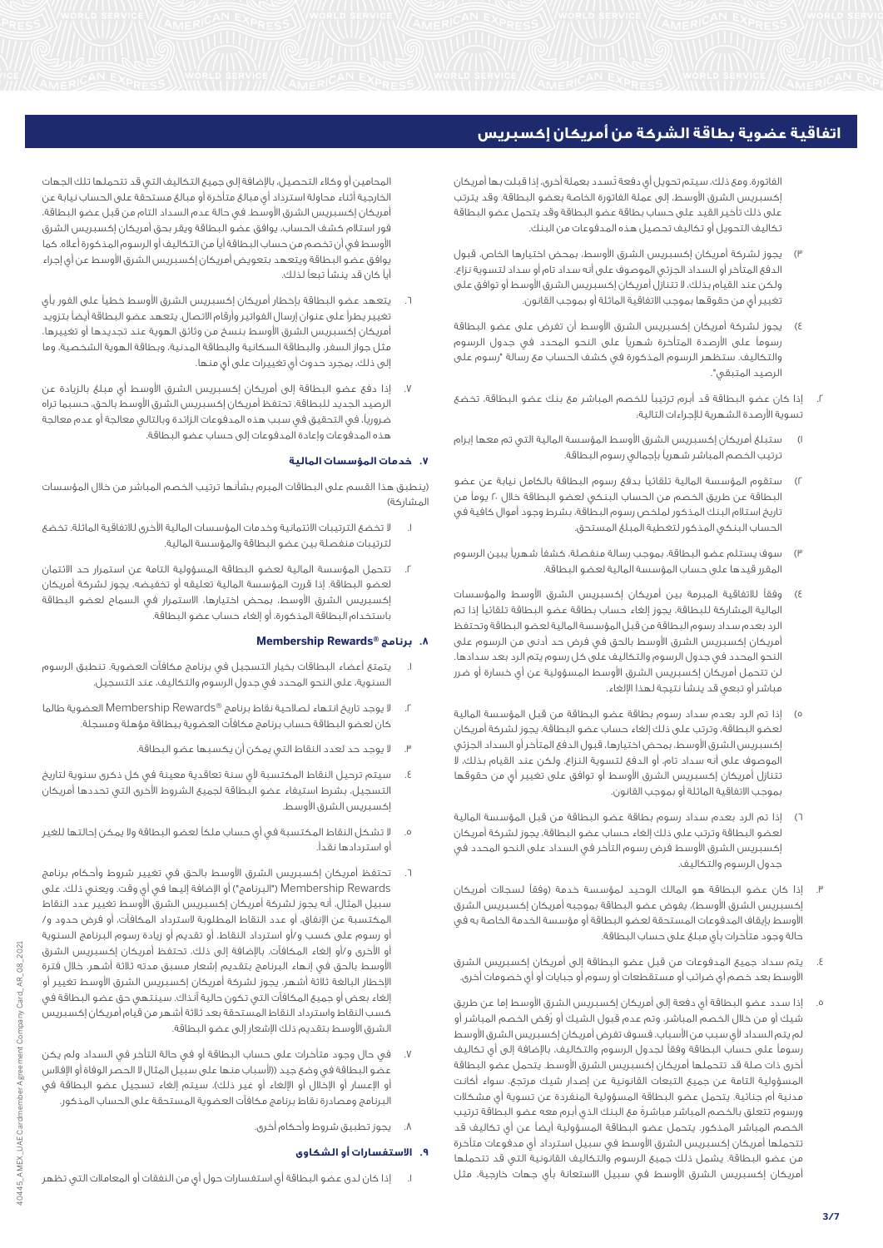الفاتورة. ومع ذلك، سيتم تحويل أي دفعة تُسدد بعملة أخرى، إذا قبلت بها أمريكان إكسبريس الشرق األوسط، إلى عملة الفاتورة الخاصة بعضو البطاقة. وقد يترتب على ذلك تأخير القيد على حساب بطاقة عضو البطاقة وقد يتحمل عضو البطاقة تكاليف التحويل أو تكاليف تحصيل هذه المدفوعات من البنك.

- 3( يجوز لشركة أمريكان إكسبريس الشرق األوسط، بمحض اختيارها الخاص، قبول الدفع المتأخر أو السداد الجزئي الموصوف على أنه سداد تام أو سداد لتسوية نزاع. ولكن عند القيام بذلك، ال تتنازل أمريكان إكسبريس الشرق األوسط أو توافق على تغيير أيٍ من حقوقها بموجب االتفاقية الماثلة أو بموجب القانون.
- 4( يجوز لشركة أمريكان إكسبريس الشرق األوسط أن تفرض على عضو البطاقة رسوماً على األرصدة المتأخرة شهرياً على النحو المحدد في جدول الرسوم والتكاليف. ستظهر الرسوم المذكورة في كشف الحساب مع رسالة "رسوم على الرصيد المتبقي".
- .2 إذا كان عضو البطاقة قد أبرم ترتيباً للخصم المباشر مع بنك عضو البطاقة، تخضع تسوية األرصدة الشهرية لإلجراءات التالية:
- 1( ستبلغ أمريكان إكسبريس الشرق األوسط المؤسسة المالية التي تم معها إبرام ترتيب الخصم المباشر شهرياً بإجمالي رسوم البطاقة.
- 2( ستقوم المؤسسة المالية تلقائياً بدفع رسوم البطاقة بالكامل نيابة عن عضو البطاقة عن طريق الخصم من الحساب البنكي لعضو البطاقة خالل 20 يوماً من تاريخ استالم البنك المذكور لملخص رسوم البطاقة، بشرط وجود أموال كافية في الحساب البنكي المذكور لتغطية المبلغ المستحق.
- 3( سوف يستلم عضو البطاقة، بموجب رسالة منفصلة، كشفاً شهرياً يبين الرسوم المقرر قيدها على حساب المؤسسة المالية لعضو البطاقة.
- 4( وفقاً لالتفاقية المبرمة بين أمريكان إكسبريس الشرق األوسط والمؤسسات المالية المشاركة للبطاقة، يجوز إلغاء حساب بطاقة عضو البطاقة تلقائياً إذا تم الرد بعدم سداد رسوم البطاقة من قبل المؤسسة المالية لعضو البطاقة وتحتفظ أمريكان إكسبريس الشرق األوسط بالحق في فرض حد أدنى من الرسوم على النحو المحدد في جدول الرسوم والتكاليف على كل رسوم يتم الرد بعد سدادها. لن تتحمل أمريكان إكسبريس الشرق األوسط المسؤولية عن أي خسارة أو ضرر مباشر أو تبعي قد ينشأ نتيجة لهذا اإللغاء.
- 5( إذا تم الرد بعدم سداد رسوم بطاقة عضو البطاقة من قبل المؤسسة المالية لعضو البطاقة، وترتب على ذلك إلغاء حساب عضو البطاقة، يجوز لشركة أمريكان إكسبريس الشرق األوسط، بمحض اختيارها، قبول الدفع المتأخر أو السداد الجزئي الموصوف على أنه سداد تام، أو الدفع لتسوية النزاع. ولكن عند القيام بذلك، ال تتنازل أمريكان إكسبريس الشرق الأوسط أو توافق على تغيير أي من حقوقها بموجب االتفاقية الماثلة أو بموجب القانون.
- 6( إذا تم الرد بعدم سداد رسوم بطاقة عضو البطاقة من قبل المؤسسة المالية لعضو البطاقة وترتب على ذلك إلغاء حساب عضو البطاقة، يجوز لشركة أمريكان إكسبريس الشرق األوسط فرض رسوم التأخر في السداد على النحو المحدد في جدول الرسوم والتكاليف.
- إذا كان عضو البطاقة هو المالك الوحيد لمؤسسة خدمة (وفقاً لسجلات أمريكان إكسبريس الشرق الأوسط)، يفوض عضو البطاقة بموجبه أمريكان إكسبريس الشرق األوسط بإيقاف المدفوعات المستحقة لعضو البطاقة أو مؤسسة الخدمة الخاصة به في حالة وجود متأخرات بأي مبلغ على حساب البطاقة.
- .4 يتم سداد جميع المدفوعات من قبل عضو البطاقة إلى أمريكان إكسبريس الشرق األوسط بعد خصم أي ضرائب أو مستقطعات أو رسوم أو جبايات أو أي خصومات أخرى.
- .5 إذا سدد عضو البطاقة أي دفعة إلى أمريكان إكسبريس الشرق األوسط إما عن طريق شيك أو من خالل الخصم المباشر، وتم عدم قبول الشيك أو رُفض الخصم المباشر أو لم يتم السداد لأى سبب من الأسباب، فسوف تفرض أمريكان إكسبريس الشرق الأوسط رسوماً على حساب البطاقة وفقاً لجدول الرسوم والتكاليف، باإلضافة إلى أي تكاليف أخرى ذات صلة قد تتحملها أمريكان إكسبريس الشرق األوسط. يتحمل عضو البطاقة المسؤولية التامة عن جميع التبعات القانونية عن إصدار شيك مرتجع، سواء أكانت مدنية أم جنائية. يتحمل عضو البطاقة المسؤولية المنفردة عن تسوية أي مشكالت ورسوم تتعلق بالخصم المباشر مباشرةً مع البنك الذي أبرم معه عضو البطاقة ترتيب الخصم المباشر المذكور. يتحمل عضو البطاقة المسؤولية أيضاً عن أي تكاليف قد تتحملها أمريكان إكسبريس الشرق األوسط في سبيل استرداد أي مدفوعات متأخرة من عضو البطاقة. يشمل ذلك جميع الرسوم والتكاليف القانونية التي قد تتحملها أمريكان إكسبريس الشرق األوسط في سبيل االستعانة بأي جهات خارجية، مثل

المحامين أو وكالء التحصيل، باإلضافة إلى جميع التكاليف التي قد تتحملها تلك الجهات الخارجية أثناء محاولة استرداد أي مبالغ متأخرة أو مبالغ مستحقة على الحساب نيابة عن أمريكان إكسبريس الشرق األوسط. في حالة عدم السداد التام من قبل عضو البطاقة، فور استالم كشف الحساب، يوافق عضو البطاقة ويقر بحق أمريكان إكسبريس الشرق األوسط في أن تخصم من حساب البطاقة أياً من التكاليف أو الرسوم المذكورة أعاله. كما يوافق عضو البطاقة ويتعهد بتعويض أمريكان إكسبريس الشرق الأوسط عن أي إجراء أياً كان قد ينشأ تبعاً لذلك.

- يتعهد عضو البطاقة بإخطار أمريكان إكسبريس الشرق الأوسط خطياً على الفور بأي تغيير يطرأ على عنوان إرسال الفواتير وأرقام االتصال. يتعهد عضو البطاقة أيضاً بتزويد أمريكان إكسبريس الشرق األوسط بنسخ من وثائق الهوية عند تجديدها أو تغييرها، مثل جواز السفر، والبطاقة السكانية والبطاقة المدنية، وبطاقة الهوية الشخصية، وما إلى ذلك، بمجرد حدوث أي تغييرات على أيٍ منها.
- .7 إذا دفع عضو البطاقة إلى أمريكان إكسبريس الشرق األوسط أي مبلغ بالزيادة عن الرصيد الجديد للبطاقة، تحتفظ أمريكان إكسبريس الشرق األوسط بالحق، حسبما تراه ضروريا،ً في التحقيق في سبب هذه المدفوعات الزائدة وبالتالي معالجة أو عدم معالجة هذه المدفوعات وإعادة المدفوعات إلى حساب عضو البطاقة.

# **.7 خدمات المؤسسات المالية**

)ينطبق هذا القسم على البطاقات المبرم بشأنها ترتيب الخصم المباشر من خالل المؤسسات المشاركة)

- .1 ال تخضع الترتيبات االئتمانية وخدمات المؤسسات المالية األخرى لالتفاقية الماثلة. تخضع لترتيبات منفصلة بين عضو البطاقة والمؤسسة المالية.
- .2 تتحمل المؤسسة المالية لعضو البطاقة المسؤولية التامة عن استمرار حد االئتمان لعضو البطاقة. إذا قررت المؤسسة المالية تعليقه أو تخفيضه، يجوز لشركة أمريكان إكسبريس الشرق األوسط، بمحض اختيارها، االستمرار في السماح لعضو البطاقة باستخدام البطاقة المذكورة، أو إلغاء حساب عضو البطاقة.

## **Membership Rewards® برنامج .8**

- .1 يتمتع أعضاء البطاقات بخيار التسجيل في برنامج مكافآت العضوية. تنطبق الرسوم السنوية، على النحو المحدد في جدول الرسوم والتكاليف، عند التسجيل.
- .2 ال يوجد تاريخ انتهاء لصالحية نقاط برنامج RRewards Membership العضوية طالما كان لعضو البطاقة حساب برنامج مكافآت العضوية ببطاقة مؤهلة ومسجلة.
	- .3 ال يوجد حد لعدد النقاط التي يمكن أن يكسبها عضو البطاقة.
- .4 سيتم ترحيل النقاط المكتسبة ألي سنة تعاقدية معينة في كل ذكرى سنوية لتاريخ التسجيل، بشرط استيفاء عضو البطاقة لجميع الشروط األخرى التي تحددها أمريكان إكسبريس الشرق األوسط.
- .5 ال تشكل النقاط المكتسبة في أي حساب ملكاً لعضو البطاقة وال يمكن إحالتها للغير أو استردادها نقدا.ً
- تحتفظ أمريكان إكسبريس الشرق الأوسط بالحق في تغيير شروط وأحكام برنامج Rewards Membership"( البرنامج"( أو اإلضافة إليها في أي وقت. ويعني ذلك، على سبيل المثال، أنه يجوز لشركة أمريكان إكسبريس الشرق األوسط تغيير عدد النقاط المكتسبة عن اإلنفاق، أو عدد النقاط المطلوبة السترداد المكافآت، أو فرض حدود و/ أو رسوم على كسب و/أو استرداد النقاط، أو تقديم أو زيادة رسوم البرنامج السنوية أو األخرى و/أو إلغاء المكافآت. باإلضافة إلى ذلك، تحتفظ أمريكان إكسبريس الشرق األوسط بالحق في إنهاء البرنامج بتقديم إشعار مسبق مدته ثالثة أشهر. خالل فترة اإلخطار البالغة ثالثة أشهر، يجوز لشركة أمريكان إكسبريس الشرق األوسط تغيير أو إلغاء بعض أو جميع المكافآت التي تكون حالية آنذاك. سينتهي حق عضو البطاقة في كسب النقاط واسترداد النقاط المستحقة بعد ثالثة أشهر من قيام أمريكان إكسبريس الشرق األوسط بتقديم ذلك اإلشعار إلى عضو البطاقة.
- .7 في حال وجود متأخرات على حساب البطاقة أو في حالة التأخر في السداد ولم يكن عضو البطاقة في وضع جيد ((لأسباب منها على سبيل المثال لا الحصر الوفاة أو الإفلاس أو الإعسار أو الإخلال أو الإلغاء أو غير ذلك)، سيتم إلغاء تسجيل عضو البطاقة في البرنامج ومصادرة نقاط برنامج مكافآت العضوية المستحقة على الحساب المذكور.
	- .8 يجوز تطبيق شروط وأحكام أخرى.

#### **.9 االستفسارات أو الشكاوى**

.1 إذا كان لدى عضو البطاقة أي استفسارات حول أيٍ من النفقات أو المعامالت التي تظهر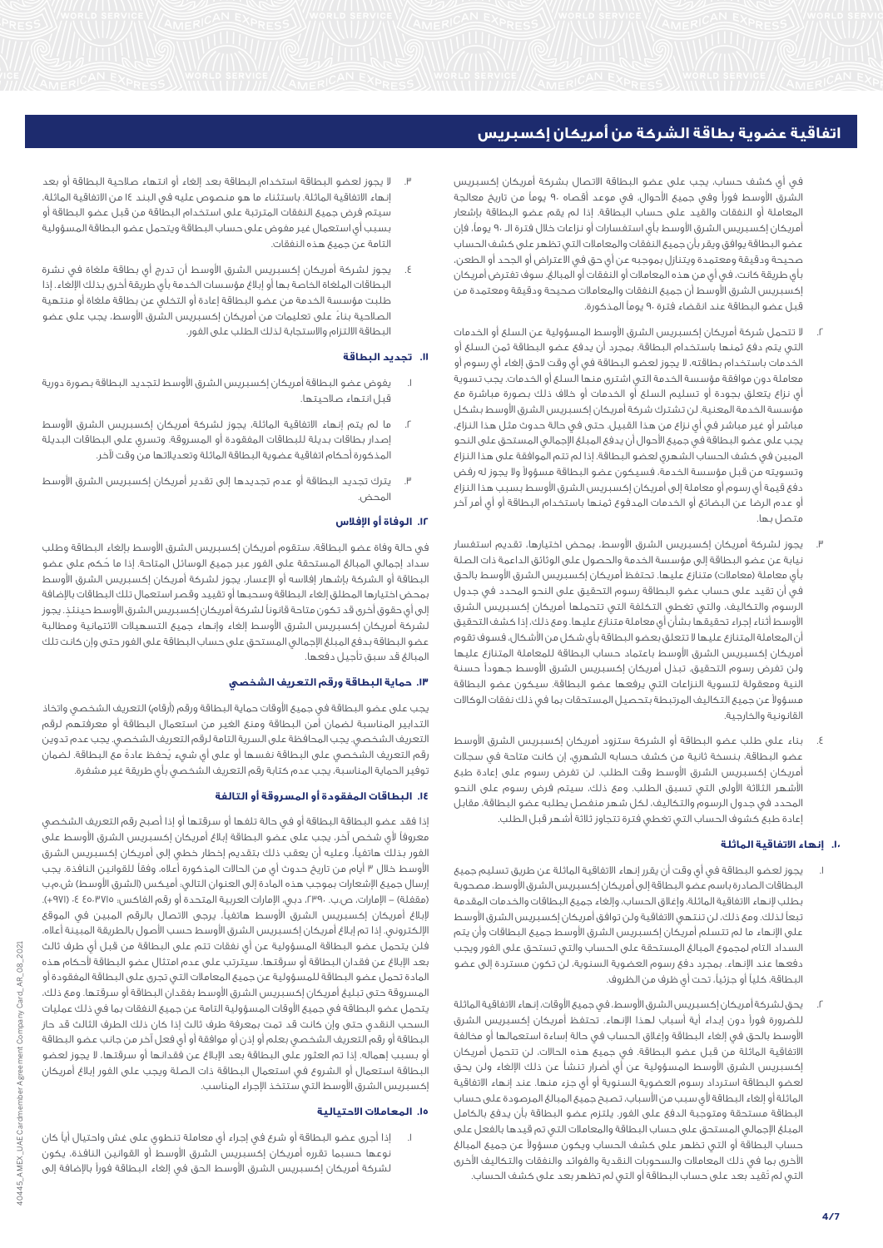في أي كشف حساب، يجب على عضو البطاقة االتصال بشركة أمريكان إكسبريس الشرق الأوسط فوراً وفي جميع الأحوال، في موعد أقصاه ٩٠ يوماً من تاريخ معالجة المعاملة أو النفقات والقيد على حساب البطاقة. إذا لم يقم عضو البطاقة بإشعار أمريكان إكسبريس الشرق األوسط بأي استفسارات أو نزاعات خالل فترة الــ 90 يوما،ً فإن عضو البطاقة يوافق ويقر بأن جميع النفقات والمعامالت التي تظهر على كشف الحساب صحيحة ودقيقة ومعتمدة ويتنازل بموجبه عن أي حق في االعتراض أو الجحد أو الطعن، بأي طريقة كانت، في أي من هذه المعامالت أو النفقات أو المبالغ. سوف تفترض أمريكان إكسبريس الشرق الأوسط أن جميع النفقات والمعاملات صحيحة ودقيقة ومعتمدة من قبل عضو البطاقة عند انقضاء فترة 90 يوماً المذكورة.

- .2 ال تتحمل شركة أمريكان إكسبريس الشرق األوسط المسؤولية عن السلع أو الخدمات التي يتم دفع ثمنها باستخدام البطاقة. بمجرد أن يدفع عضو البطاقة ثمن السلع أو الخدمات باستخدام بطاقته، ال يجوز لعضو البطاقة في أي وقت الحق إلغاء أي رسوم أو معاملة دون موافقة مؤسسة الخدمة التي اشترى منها السلع أو الخدمات. يجب تسوية أي نزاع يتعلق بجودة أو تسليم السلع أو الخدمات أو خالف ذلك بصورة مباشرة مع مؤسسة الخدمة المعنية. لن تشترك شركة أمريكان إكسبريس الشرق األوسط بشكل مباشر أو غير مباشر في أي نزاع من هذا القبيل. حتى في حالة حدوث مثل هذا النزاع، يجب على عضو البطاقة في جميع األحوال أن يدفع المبلغ اإلجمالي المستحق على النحو المبين في كشف الحساب الشهري لعضو البطاقة. إذا لم تتم الموافقة على هذا النزاع وتسويته من قبل مؤسسة الخدمة، فسيكون عضو البطاقة مسؤوالً وال يجوز له رفض دفع قيمة أي رسوم أو معاملة إلى أمريكان إكسبريس الشرق األوسط بسبب هذا النزاع أو عدم الرضا عن البضائع أو الخدمات المدفوع ثمنها باستخدام البطاقة أو أي أمر آخر متصل بها.
- .3 يجوز لشركة أمريكان إكسبريس الشرق األوسط، بمحض اختيارها، تقديم استفسار نيابة عن عضو البطاقة إلى مؤسسة الخدمة والحصول على الوثائق الداعمة ذات الصلة بأي معاملة (معاملات) متنازع عليها. تحتفظ أمريكان إكسبريس الشرق الأوسط بالحق في أن تقيد على حساب عضو البطاقة رسوم التحقيق على النحو المحدد في جدول الرسوم والتكاليف، والتي تغطي التكلفة التي تتحملها أمريكان إكسبريس الشرق األوسط أثناء إجراء تحقيقها بشأن أي معاملة متنازع عليها. ومع ذلك، إذا كشف التحقيق أن المعاملة المتنازع عليها ال تتعلق بعضو البطاقة بأي شكل من األشكال، فسوف تقوم أمريكان إكسبريس الشرق األوسط باعتماد حساب البطاقة للمعاملة المتنازع عليها ولن تفرض رسوم التحقيق. تبذل أمريكان إكسبريس الشرق األوسط جهوداً حسنة النية ومعقولة لتسوية النزاعات التي يرفعها عضو البطاقة. سيكون عضو البطاقة مسؤوالً عن جميع التكاليف المرتبطة بتحصيل المستحقات بما في ذلك نفقات الوكاالت القانونية والخارجية.
- .4 بناء على طلب عضو البطاقة أو الشركة ستزود أمريكان إكسبريس الشرق األوسط عضو البطاقة، بنسخة ثانية من كشف حسابه الشهري، إن كانت متاحة في سجالت أمريكان إكسبريس الشرق األوسط وقت الطلب. لن تفرض رسوم على إعادة طبع األشهر الثالثة األولى التي تسبق الطلب. ومع ذلك، سيتم فرض رسوم على النحو المحدد في جدول الرسوم والتكاليف، لكل شهر منفصل يطلبه عضو البطاقة، مقابل إعادة طبع كشوف الحساب التي تغطي فترة تتجاوز ثالثة أشهر قبل الطلب.

# **.10 إنهاء االتفاقية الماثلة**

- .1 يجوز لعضو البطاقة في أي وقت أن يقرر إنهاء االتفاقية الماثلة عن طريق تسليم جميع البطاقات الصادرة باسم عضو البطاقة إلى أمريكان إكسبريس الشرق األوسط، مصحوبة بطلب إلنهاء االتفاقية الماثلة، وإغالق الحساب، وإلغاء جميع البطاقات والخدمات المقدمة تبعاً لذلك. ومع ذلك، لن تنتهي االتفاقية ولن توافق أمريكان إكسبريس الشرق األوسط على اإلنهاء ما لم تتسلم أمريكان إكسبريس الشرق األوسط جميع البطاقات وأن يتم السداد التام لمجموع المبالغ المستحقة على الحساب والتي تستحق على الفور ويجب دفعها عند اإلنهاء. بمجرد دفع رسوم العضوية السنوية، لن تكون مستردة إلى عضو البطاقة، كلياً أو جزئيا،ً تحت أي ظرف من الظروف.
- .2 يحق لشركة أمريكان إكسبريس الشرق األوسط، في جميع األوقات، إنهاء االتفاقية الماثلة للضرورة فوراً دون إبداء أية أسباب لهذا اإلنهاء. تحتفظ أمريكان إكسبريس الشرق األوسط بالحق في إلغاء البطاقة وإغالق الحساب في حالة إساءة استعمالها أو مخالفة االتفاقية الماثلة من قبل عضو البطاقة. في جميع هذه الحاالت، لن تتحمل أمريكان إكسبريس الشرق األوسط المسؤولية عن أي أضرار تنشأ عن ذلك اإللغاء ولن يحق لعضو البطاقة استرداد رسوم العضوية السنوية أو أي جزء منها. عند إنهاء االتفاقية الماثلة أو إلغاء البطاقة ألي سبب من األسباب، تصبح جميع المبالغ المرصودة على حساب البطاقة مستحقة ومتوجبة الدفع على الفور. يلتزم عضو البطاقة بأن يدفع بالكامل المبلغ اإلجمالي المستحق على حساب البطاقة والمعامالت التي تم قيدها بالفعل على حساب البطاقة أو التي تظهر على كشف الحساب ويكون مسؤوالً عن جميع المبالغ األخرى بما في ذلك المعامالت والسحوبات النقدية والفوائد والنفقات والتكاليف األخرى التي لم تُقيد بعد على حساب البطاقة أو التي لم تظهر بعد على كشف الحساب.
- .3 ال يجوز لعضو البطاقة استخدام البطاقة بعد إلغاء أو انتهاء صالحية البطاقة أو بعد إنهاء االتفاقية الماثلة. باستثناء ما هو منصوص عليه في البند 14 من االتفاقية الماثلة، سيتم فرض جميع النفقات المترتبة على استخدام البطاقة من قبل عضو البطاقة أو بسبب أي استعمال غير مفوض على حساب البطاقة ويتحمل عضو البطاقة المسؤولية التامة عن جميع هذه النفقات.
- يجوز لشركة أمريكان إكسبريس الشرق الأوسط أن تدرج أى بطاقة ملغاة فى نشرة البطاقات الملغاة الخاصة بها أو إبالغ مؤسسات الخدمة بأي طريقة أخرى بذلك اإللغاء. إذا طلبت مؤسسة الخدمة من عضو البطاقة إعادة أو التخلي عن بطاقة ملغاة أو منتهية الصالحية بناءً على تعليمات من أمريكان إكسبريس الشرق األوسط، يجب على عضو البطاقة االلتزام واالستجابة لذلك الطلب على الفور.

## **.11 تجديد البطاقة**

- يفوض عضو البطاقة أمريكان إكسبريس الشرق الأوسط لتجديد البطاقة بصورة دورية قبل انتهاء صالحيتها.
- ما لم يتم إنهاء الاتفاقية الماثلة، يجوز لشركة أمريكان إكسبريس الشرق الأوسط إصدار بطاقات بديلة للبطاقات المفقودة أو المسروقة. وتسري على البطاقات البديلة المذكورة أحكام اتفاقية عضوية البطاقة الماثلة وتعديالتها من وقت آلخر.
- .3 يترك تجديد البطاقة أو عدم تجديدها إلى تقدير أمريكان إكسبريس الشرق األوسط المحض.

# **.12 الوفاة أو اإلفالس**

في حالة وفاة عضو البطاقة، ستقوم أمريكان إكسبريس الشرق األوسط بإلغاء البطاقة وطلب سداد إجمالي المبالغ المستحقة على الفور عبر جميع الوسائل المتاحة. إذا ما حُكم على عضو البطاقة أو الشركة بإشهار إفلاسه أو الإعسار، يجوز لشركة أمريكان إكسبريس الشرق الأوسط بمحض اختيارها المطلق إلغاء البطاقة وسحبها أو تقييد وقصر استعمال تلك البطاقات باإلضافة إلى أي حقوق أخرى قد تكون متاحة قانوناً لشركة أمريكان إكسبريس الشرق الأوسط حينئذٍ. يجوز لشركة أمريكان إكسبريس الشرق األوسط إلغاء وإنهاء جميع التسهيالت االئتمانية ومطالبة عضو البطاقة بدفع المبلغ اإلجمالي المستحق على حساب البطاقة على الفور حتى وإن كانت تلك المبالغ قد سبق تأجيل دفعها.

#### **.13 حماية البطاقة ورقم التعريف الشخصي**

يجب على عضو البطاقة في جميع الأوقات حماية البطاقة ورقم (أرقام) التعريف الشخصي واتخاذ التدابير المناسبة لضمان أمن البطاقة ومنع الغير من استعمال البطاقة أو معرفتهم لرقم التعريف الشخصي. يجب المحافظة على السرية التامة لرقم التعريف الشخصي. يجب عدم تدوين رقم التعريف الشخصي على البطاقة نفسها أو على أي شيء يُحفظ عادةً مع البطاقة. لضمان توفير الحماية المناسبة، يجب عدم كتابة رقم التعريف الشخصي بأي طريقة غير مشفرة.

## **.14 البطاقات المفقودة أو المسروقة أو التالفة**

إذا فقد عضو البطاقة البطاقة أو في حالة تلفها أو سرقتها أو إذا أصبح رقم التعريف الشخصي معروفاً ألي شخص آخر، يجب على عضو البطاقة إبالغ أمريكان إكسبريس الشرق األوسط على الفور بذلك هاتفيا،ً وعليه أن يعقب ذلك بتقديم إخطار خطي إلى أمريكان إكسبريس الشرق الأوسط خلال ٣ أيام من تاريخ حدوث أي من الحالات المذكورة أعلاه، وفقاً للقوانين النافذة. يجب إرسال جميع الإشعارات بموجب هذه المادة إلى العنوان التالي: أميكس (الشرق الأوسط) ش.م.ب (مقفلة) – الإمارات، ص.ب. ،٣٩٦، دبي، الإمارات العربية المتحدة أو رقم الفاكس: ٤٥٠،٣٧١٥ ٤، (٩٧١+). إلبالغ أمريكان إكسبريس الشرق األوسط هاتفيا،ً يرجى االتصال بالرقم المبين في الموقع اإللكتروني. إذا تم إبالغ أمريكان إكسبريس الشرق األوسط حسب األصول بالطريقة المبينة أعاله، فلن يتحمل عضو البطاقة المسؤولية عن أي نفقات تتم على البطاقة من قبل أي طرف ثالث بعد اإلبالغ عن فقدان البطاقة أو سرقتها. سيترتب على عدم امتثال عضو البطاقة ألحكام هذه المادة تحمل عضو البطاقة للمسؤولية عن جميع المعامالت التي تجرى على البطاقة المفقودة أو المسروقة حتى تبليغ أمريكان إكسبريس الشرق األوسط بفقدان البطاقة أو سرقتها. ومع ذلك، يتحمل عضو البطاقة في جميع األوقات المسؤولية التامة عن جميع النفقات بما في ذلك عمليات السحب النقدي حتى وإن كانت قد تمت بمعرفة طرف ثالث إذا كان ذلك الطرف الثالث قد حاز البطاقة أو رقم التعريف الشخصي بعلم أو إذن أو موافقة أو أي فعل آخر من جانب عضو البطاقة أو بسبب إهماله. إذا تم العثور على البطاقة بعد اإلبالغ عن فقدانها أو سرقتها، ال يجوز لعضو البطاقة استعمال أو الشروع في استعمال البطاقة ذات الصلة ويجب على الفور إبالغ أمريكان إكسبريس الشرق األوسط التي ستتخذ اإلجراء المناسب.

## **.15 المعامالت االحتيالية**

.1 إذا أجرى عضو البطاقة أو شرع في إجراء أي معاملة تنطوي على غش واحتيال أياً كان نوعها حسبما تقرره أمريكان إكسبريس الشرق األوسط أو القوانين النافذة، يكون لشركة أمريكان إكسبريس الشرق الأوسط الحق فى إلغاء البطاقة فوراً بالإضافة إلى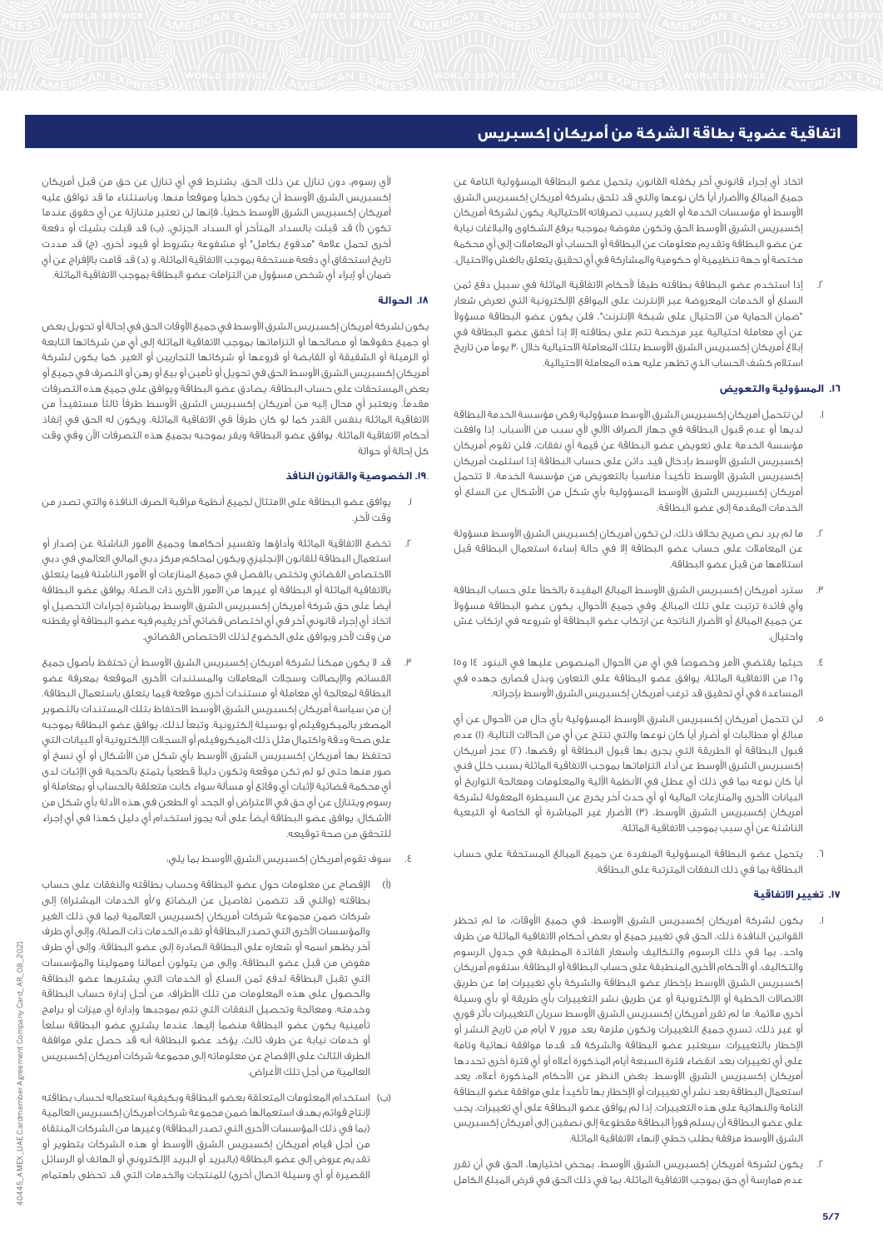اتخاذ أي إجراء قانوني آخر يكفله القانون. يتحمل عضو البطاقة المسؤولية التامة عن جميع المبالغ واألضرار أياً كان نوعها والتي قد تلحق بشركة أمريكان إكسبريس الشرق األوسط أو مؤسسات الخدمة أو الغير بسبب تصرفاته االحتيالية. يكون لشركة أمريكان إكسبريس الشرق الأوسط الحق وتكون مفوضة بموجبه برفع الشكاوى والبلاغات نيابة عن عضو البطاقة وتقديم معلومات عن البطاقة أو الحساب أو المعامالت إلى أي محكمة مختصة أو جهة تنظيمية أو حكومية والمشاركة في أي تحقيق يتعلق بالغش واالحتيال.

إذا استخدم عضو البطاقة بطاقته طبقاً لأحكام الاتفاقية الماثلة في سبيل دفع ثمن السلع أو الخدمات المعروضة عبر اإلنترنت على المواقع اإللكترونية التي تعرض شعار "ضمان الحماية من االحتيال على شبكة اإلنترنت"، فلن يكون عضو البطاقة مسؤوالً عن أي معاملة احتيالية غير مرخصة تتم على بطاقته إال إذا أخفق عضو البطاقة في إبالغ أمريكان إكسبريس الشرق األوسط بتلك المعاملة االحتيالية خالل 30 يوماً من تاريخ استالم كشف الحساب الذي تظهر عليه هذه المعاملة االحتيالية.

# **.16 المسؤولية والتعويض**

- لن تتحمل أمريكان إكسبريس الشرق الأوسط مسؤولية رفض مؤسسة الخدمة البطاقة لديها أو عدم قبول البطاقة في جهاز الصراف اآللي ألي سبب من األسباب. إذا وافقت مؤسسة الخدمة على تعويض عضو البطاقة عن قيمة أي نفقات، فلن تقوم أمريكان إكسبريس الشرق األوسط بإدخال قيد دائن على حساب البطاقة إذا استلمت أمريكان إكسبريس الشرق األوسط تأكيداً مناسباً بالتعويض من مؤسسة الخدمة. ال تتحمل أمريكان إكسبريس الشرق األوسط المسؤولية بأي شكل من األشكال عن السلع أو الخدمات المقدمة إلى عضو البطاقة.
- .2 ما لم يرد نص صريح بخالف ذلك، لن تكون أمريكان إكسبريس الشرق األوسط مسؤولة عن المعامالت على حساب عضو البطاقة إال في حالة إساءة استعمال البطاقة قبل استالمها من قبل عضو البطاقة.
- .3 سترد أمريكان إكسبريس الشرق األوسط المبالغ المقيدة بالخطأ على حساب البطاقة وأي فائدة ترتبت على تلك المبالغ. وفي جميع األحوال، يكون عضو البطاقة مسؤوالً عن جميع المبالغ أو األضرار الناتجة عن ارتكاب عضو البطاقة أو شروعه في ارتكاب غش واحتيال.
- ٤. حيثما يقتضي الأمر وخصوصاً في أي من الأحوال المنصوص عليها في البنود ١٤ و١٥ و16 من االتفاقية الماثلة، يوافق عضو البطاقة على التعاون وبذل قصارى جهده في المساعدة في أي تحقيق قد ترغب أمريكان إكسبريس الشرق األوسط بإجرائه.
- .<br>٥. لن تتحمل أمريكان إكسبريس الشرق الأوسط المسؤولية بأي حال من الأحوال عن أي مبالغ أو مطالبات أو أضرار أياً كان نوعها والتي تنتج عن أيٍ من الحاالت التالية: )1( عدم قبول البطاقة أو الطريقة التي يجرى بها قبول البطاقة أو رفضها، )2( عجز أمريكان إكسبريس الشرق األوسط عن أداء التزاماتها بموجب االتفاقية الماثلة بسبب خلل فني أياً كان نوعه بما في ذلك أي عطل في األنظمة اآللية والمعلومات ومعالجة التواريخ أو البيانات األخرى والمنازعات المالية أو أي حدث آخر يخرج عن السيطرة المعقولة لشركة .<br>أمريكان إكسبريس الشرق الأوسط، (٣) الأضرار غير المباشرة أو الخاصة أو التبعية الناشئة عن أي سبب بموجب االتفاقية الماثلة.
- .<br>1. يتحمل عضو البطاقة المسؤولية المنفردة عن جميع المبالغ المستحقة على حساب البطاقة بما في ذلك النفقات المترتبة على البطاقة.

# **.17 تغيير االتفاقية**

- .1 يكون لشركة أمريكان إكسبريس الشرق األوسط، في جميع األوقات، ما لم تحظر القوانين النافذة ذلك، الحق في تغيير جميع أو بعض أحكام االتفاقية الماثلة من طرف واحد، بما في ذلك الرسوم والتكاليف وأسعار الفائدة المطبقة في جدول الرسوم والتكاليف، أو األحكام األخرى المنطبقة على حساب البطاقة أو البطاقة. ستقوم أمريكان إكسبريس الشرق األوسط بإخطار عضو البطاقة والشركة بأي تغييرات إما عن طريق االتصاالت الخطية أو اإللكترونية أو عن طريق نشر التغييرات بأي طريقة أو بأي وسيلة أخرى مالئمة. ما لم تقرر أمريكان إكسبريس الشرق األوسط سريان التغييرات بأثر فوري أو غير ذلك، تسري جميع التغييرات وتكون ملزمة بعد مرور 7 أيام من تاريخ النشر أو اإلخطار بالتغييرات. سيعتبر عضو البطاقة والشركة قد قدما موافقة نهائية وتامة على أي تغييرات بعد انقضاء فترة السبعة أيام المذكورة أعاله أو أي فترة أخرى تحددها أمريكان إكسبريس الشرق األوسط. بغض النظر عن األحكام المذكورة أعاله، يعد استعمال البطاقة بعد نشر أي تغييرات أو اإلخطار بها تأكيداً على موافقة عضو البطاقة التامة والنهائية على هذه التغييرات. إذا لم يوافق عضو البطاقة على أي تغييرات، يجب على عضو البطاقة أن يسلم فوراً البطاقة مقطوعة إلى نصفين إلى أمريكان إكسبريس الشرق الأوسط مرفقة بطلب خطى لإنهاء الاتفاقية الماثلة.
- .2 يكون لشركة أمريكان إكسبريس الشرق األوسط، بمحض اختيارها، الحق في أن تقرر عدم ممارسة أي حق بموجب االتفاقية الماثلة، بما في ذلك الحق في فرض المبلغ الكامل

ألي رسوم، دون تنازل عن ذلك الحق. يشترط في أي تنازل عن حق من قبل أمريكان إكسبريس الشرق األوسط أن يكون خطياً وموقعاً منها. وباستثناء ما قد توافق عليه أمريكان إكسبريس الشرق األوسط خطيا،ً فإنها لن تعتبر متنازلة عن أي حقوق عندما تكون (أ) قد قبلت بالسداد المتأخر أو السداد الجزئى، (ب) قد قبلت بشيك أو دفعة أخرى تحمل علامة "مدفوع بكامل" أو مشفوعة بشروط أو قيود أخرى، (ج) قد مددت تاريخ استحقاق أي دفعة مستحقة بموجب الاتفاقية الماثلة، و (د) قد قامت بالإفراج عن أي ضمان أو إبراء أي شخص مسؤول من التزامات عضو البطاقة بموجب االتفاقية الماثلة.

## **.18 الحوالة**

يكون لشركة أمريكان إكسبريس الشرق األوسط في جميع األوقات الحق في إحالة أو تحويل بعض أو جميع حقوقها أو مصالحها أو التزاماتها بموجب االتفاقية الماثلة إلى أيٍ من شركاتها التابعة أو الزميلة أو الشقيقة أو القابضة أو فروعها أو شركائها التجاريين أو الغير. كما يكون لشركة أمريكان إكسبريس الشرق األوسط الحق في تحويل أو تأمين أو بيع أو رهن أو التصرف في جميع أو بعض المستحقات على حساب البطاقة. يصادق عضو البطاقة ويوافق على جميع هذه التصرفات مقدما.ً ويعتبر أي محال إليه من أمريكان إكسبريس الشرق األوسط طرفاً ثالثاً مستفيداً من االتفاقية الماثلة بنفس القدر كما لو كان طرفاً في االتفاقية الماثلة، ويكون له الحق في إنفاذ أحكام االتفاقية الماثلة. يوافق عضو البطاقة ويقر بموجبه بجميع هذه التصرفات اآلن وفي وقت كل إحالة أو حوالة

# **.19**. **الخصوصية والقانون النافذ**

- .1 يوافق عضو البطاقة على االمتثال لجميع أنظمة مراقبة الصرف النافذة والتي تصدر من وقت آلخر.
- .2 تخضع االتفاقية الماثلة وأداؤها وتفسير أحكامها وجميع األمور الناشئة عن إصدار أو استعمال البطاقة للقانون اإلنجليزي ويكون لمحاكم مركز دبي المالي العالمي في دبي االختصاص القضائي وتختص بالفصل في جميع المنازعات أو األمور الناشئة فيما يتعلق باالتفاقية الماثلة أو البطاقة أو غيرها من األمور األخرى ذات الصلة. يوافق عضو البطاقة أيضاً على حق شركة أمريكان إكسبريس الشرق األوسط بمباشرة إجراءات التحصيل أو اتخاذ أي إجراء قانوني آخر في أي اختصاص قضائي آخر يقيم فيه عضو البطاقة أو يقطنه من وقت آلخر ويوافق على الخضوع لذلك االختصاص القضائي.
- قد لا يكون ممكناً لشركة أمريكان إكسبريس الشرق الأوسط أن تحتفظ بأصول جميع القسائم واإليصاالت وسجالت المعامالت والمستندات األخرى الموقعة بمعرفة عضو البطاقة لمعالجة أي معاملة أو مستندات أخرى موقعة فيما يتعلق باستعمال البطاقة. إن من سياسة أمريكان إكسبريس الشرق األوسط االحتفاظ بتلك المستندات بالتصوير المصغر بالميكروفيلم أو بوسيلة إلكترونية. وتبعاً لذلك، يوافق عضو البطاقة بموجبه على صحة ودقة واكتمال مثل ذلك الميكروفيلم أو السجالت اإللكترونية أو البيانات التي تحتفظ بها أمريكان إكسبريس الشرق الأوسط بأي شكل من الأشكال أو أي نسخ أو صور منها حتى لو لم تكن موقعة وتكون دليالً قطعياً يتمتع بالحجية في اإلثبات لدى أي محكمة قضائية إلثبات أي وقائع أو مسألة سواء كانت متعلقة بالحساب أو بمعاملة أو رسوم ويتنازل عن أي حق في االعتراض أو الجحد أو الطعن في هذه األدلة بأي شكل من األشكال. يوافق عضو البطاقة أيضاً على أنه يجوز استخدام أي دليل كهذا في أي إجراء للتحقق من صحة توقيعه.
	- .4 سوف تقوم أمريكان إكسبريس الشرق األوسط بما يلي:
- )أ( اإلفصاح عن معلومات حول عضو البطاقة وحساب بطاقته والنفقات على حساب بطاقته (والتي قد تتضمن تفاصيل عن البضائع و/أو الخدمات المشتراة) إلى .<br>شركات ضمن مجموعة شركات أمريكان إكسبريس العالمية (بما في ذلك الغير والمؤسسات الأخرى التى تصدر البطاقة أو تقدم الخدمات ذات الصلة)، وإلى أي طرف آخر يظهر اسمه أو شعاره على البطاقة الصادرة إلى عضو البطاقة، وإلى أي طرف مفوض من قبل عضو البطاقة، وإلى من يتولون أعمالنا وممولينا والمؤسسات التي تقبل البطاقة لدفع ثمن السلع أو الخدمات التي يشتريها عضو البطاقة والحصول على هذه المعلومات من تلك األطراف، من أجل إدارة حساب البطاقة وخدمته، ومعالجة وتحصيل النفقات التي تتم بموجبها وإدارة أي ميزات أو برامج تأمينية يكون عضو البطاقة منضماً إليها. عندما يشتري عضو البطاقة سلعاً أو خدمات نيابة عن طرف ثالث، يؤكد عضو البطاقة أنه قد حصل على موافقة الطرف الثالث على اإلفصاح عن معلوماته إلى مجموعة شركات أمريكان إكسبريس العالمية من أجل تلك الأغراض.
- )ب( استخدام المعلومات المتعلقة بعضو البطاقة وبكيفية استعماله لحساب بطاقته إلنتاج قوائم بهدف استعمالها ضمن مجموعة شركات أمريكان إكسبريس العالمية (بما في ذلك المؤسسات الأخرى التي تصدر البطاقة) وغيرها من الشركات المنتقاة من أجل قيام أمريكان إكسبريس الشرق األوسط أو هذه الشركات بتطوير أو تقديم عروض إلى عضو البطاقة (بالبريد أو البريد الإلكتروني أو الهاتف أو الرسائل القصيرة أو أي وسيلة اتصال أخرى) للمنتجات والخدمات التي قد تحظى باهتمام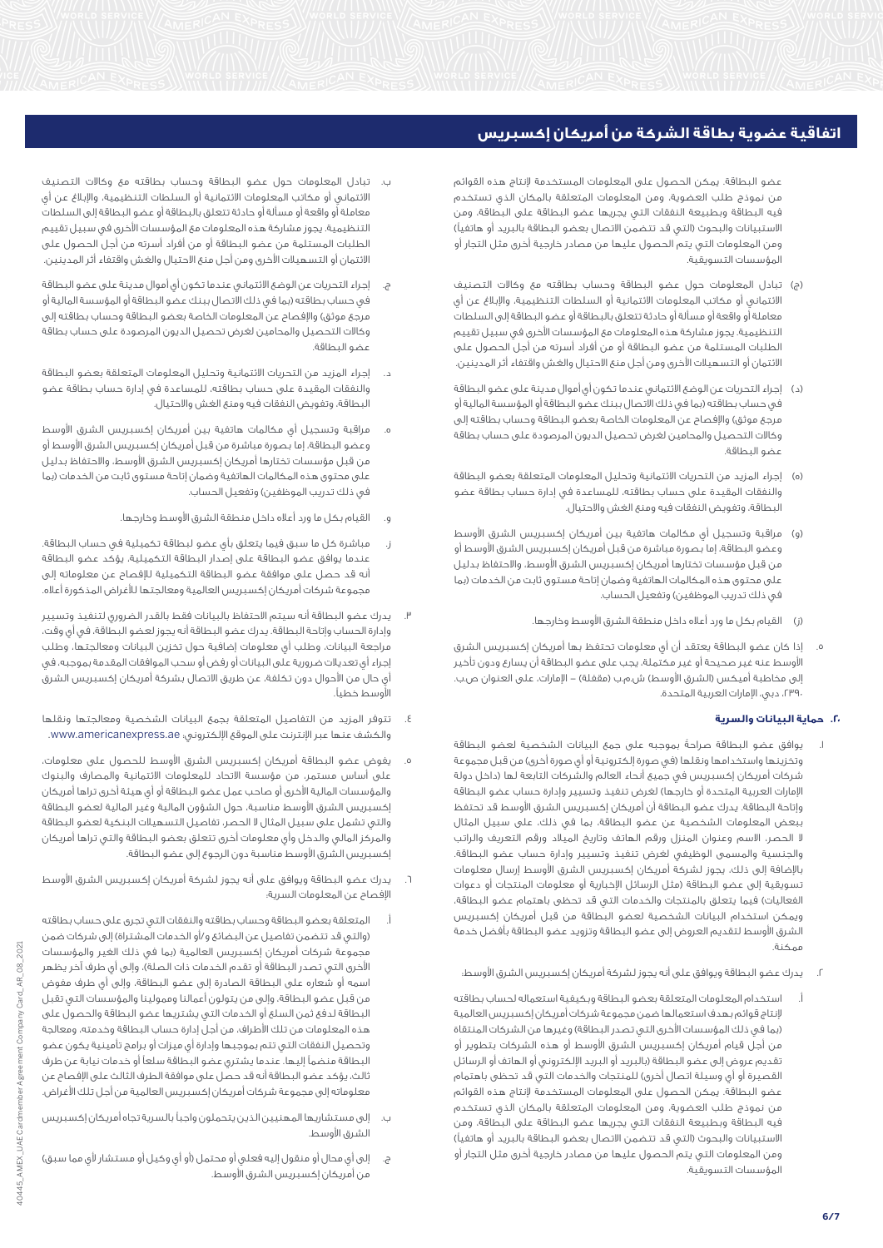عضو البطاقة. يمكن الحصول على المعلومات المستخدمة إلنتاج هذه القوائم من نموذج طلب العضوية، ومن المعلومات المتعلقة بالمكان الذي تستخدم فيه البطاقة وبطبيعة النفقات التي يجريها عضو البطاقة على البطاقة، ومن الاستبيانات والبحوث (التي قد تتضمن الاتصال بعضو البطاقة بالبريد أو هاتفياً) ومن المعلومات التي يتم الحصول عليها من مصادر خارجية أخرى مثل التجار أو المؤسسات التسويقية.

- )ج( تبادل المعلومات حول عضو البطاقة وحساب بطاقته مع وكاالت التصنيف االئتماني أو مكاتب المعلومات االئتمانية أو السلطات التنظيمية، واإلبالغ عن أي معاملة أو واقعة أو مسألة أو حادثة تتعلق بالبطاقة أو عضو البطاقة إلى السلطات التنظيمية. يجوز مشاركة هذه المعلومات مع المؤسسات األخرى في سبيل تقييم الطلبات المستلمة من عضو البطاقة أو من أفراد أسرته من أجل الحصول على االئتمان أو التسهيالت األخرى ومن أجل منع االحتيال والغش واقتفاء أثر المدينين.
- )د( إجراء التحريات عن الوضع االئتماني عندما تكون أي أموال مدينة على عضو البطاقة في حساب بطاقته )بما في ذلك االتصال ببنك عضو البطاقة أو المؤسسة المالية أو مرجع موثق) والإفصاح عن المعلومات الخاصة بعضو البطاقة وحساب بطاقته إلى وكاالت التحصيل والمحامين لغرض تحصيل الديون المرصودة على حساب بطاقة عضو البطاقة.
- )ه( إجراء المزيد من التحريات االئتمانية وتحليل المعلومات المتعلقة بعضو البطاقة والنفقات المقيدة على حساب بطاقته، للمساعدة في إدارة حساب بطاقة عضو البطاقة، وتفويض النفقات فيه ومنع الغش واالحتيال.
- (و) مراقبة وتسجيل أي مكالمات هاتفية بين أمريكان إكسبريس الشرق الأوسط وعضو البطاقة، إما بصورة مباشرة من قبل أمريكان إكسبريس الشرق الأوسط أو من قبل مؤسسات تختارها أمريكان إكسبريس الشرق األوسط، واالحتفاظ بدليل على محتوى هذه المكالمات الهاتفية وضمان إتاحة مستوى ثابت من الخدمات )بما في ذلك تدريب الموظفين) وتفعيل الحساب.
	- )ز( القيام بكل ما ورد أعاله داخل منطقة الشرق األوسط وخارجها.
- .5 إذا كان عضو البطاقة يعتقد أن أي معلومات تحتفظ بها أمريكان إكسبريس الشرق األوسط عنه غير صحيحة أو غير مكتملة، يجب على عضو البطاقة أن يسارع ودون تأخير إلى مخاطبة أميكس (الشرق الأوسط) ش.م.ب (مقفلة) – الإمارات، على العنوان ص.ب. ،2390 دبي، اإلمارات العربية المتحدة.

# **.20 حماية البيانات والسرية**

- .1 يوافق عضو البطاقة صراحةً بموجبه على جمع البيانات الشخصية لعضو البطاقة وتخزينها واستخدامها ونقلها (في صورة إلكترونية أو أي صورة أخرى) من قبل مجموعة شركات أمريكان إكسبريس في جميع أنحاء العالم والشركات التابعة لها )داخل دولة الإمارات العربية المتحدة أو خارجها) لغرض تنفيذ وتسيير وإدارة حساب عضو البطاقة وإتاحة البطاقة. يدرك عضو البطاقة أن أمريكان إكسبريس الشرق األوسط قد تحتفظ ببعض المعلومات الشخصية عن عضو البطاقة، بما في ذلك، على سبيل المثال ال الحصر، االسم وعنوان المنزل ورقم الهاتف وتاريخ الميالد ورقم التعريف والراتب والجنسية والمسمى الوظيفي لغرض تنفيذ وتسيير وإدارة حساب عضو البطاقة. باإلضافة إلى ذلك، يجوز لشركة أمريكان إكسبريس الشرق األوسط إرسال معلومات تسويقية إلى عضو البطاقة (مثل الرسائل الإخبارية أو معلومات المنتجات أو دعوات الفعاليات) فيما يتعلق بالمنتجات والخدمات التي قد تحظى باهتمام عضو البطاقة، ويمكن استخدام البيانات الشخصية لعضو البطاقة من قبل أمريكان إكسبريس الشرق الأوسط لتقديم العروض إلى عضو البطاقة وتزويد عضو البطاقة بأفضل خدمة ممكنة.
	- .2 يدرك عضو البطاقة ويوافق على أنه يجوز لشركة أمريكان إكسبريس الشرق األوسط:
- أ. استخدام المعلومات المتعلقة بعضو البطاقة وبكيفية استعماله لحساب بطاقته إلنتاج قوائم بهدف استعمالها ضمن مجموعة شركات أمريكان إكسبريس العالمية (بما في ذلك المؤسسات الأخرى التي تصدر البطاقة) وغيرها من الشركات المنتقاة من أجل قيام أمريكان إكسبريس الشرق األوسط أو هذه الشركات بتطوير أو تقديم عروض إلى عضو البطاقة (بالبريد أو البريد الإلكتروني أو الهاتف أو الرسائل القصيرة أو أي وسيلة اتصال أخرى) للمنتجات والخدمات التي قد تحظى باهتمام عضو البطاقة. يمكن الحصول على المعلومات المستخدمة إلنتاج هذه القوائم من نموذج طلب العضوية، ومن المعلومات المتعلقة بالمكان الذي تستخدم فيه البطاقة وبطبيعة النفقات التي يجريها عضو البطاقة على البطاقة، ومن الاستبيانات والبحوث (التي قد تتضمن الاتصال بعضو البطاقة بالبريد أو هاتفياً) ومن المعلومات التي يتم الحصول عليها من مصادر خارجية أخرى مثل التجار أو المؤسسات التسويقية.
- تبادل المعلومات حول عضو البطاقة وحساب بطاقته مع وكالات التصنيف االئتماني أو مكاتب المعلومات االئتمانية أو السلطات التنظيمية، واإلبالغ عن أي معاملة أو واقعة أو مسألة أو حادثة تتعلق بالبطاقة أو عضو البطاقة إلى السلطات التنظيمية. يجوز مشاركة هذه المعلومات مع المؤسسات األخرى في سبيل تقييم الطلبات المستلمة من عضو البطاقة أو من أفراد أسرته من أجل الحصول على الائتمان أو التسهيلات الأخرى ومن أجل منع الاحتيال والغش واقتفاء أثر المدينين.
- ج. إجراء التحريات عن الوضع االئتماني عندما تكون أي أموال مدينة على عضو البطاقة في حساب بطاقته (بما في ذلك الاتصال ببنك عضو البطاقة أو المؤسسة المالية أو مرجع موثق) والإفصاح عن المعلومات الخاصة بعضو البطاقة وحساب بطاقته إلى وكاالت التحصيل والمحامين لغرض تحصيل الديون المرصودة على حساب بطاقة عضو البطاقة.
- د. إجراء المزيد من التحريات االئتمانية وتحليل المعلومات المتعلقة بعضو البطاقة والنفقات المقيدة على حساب بطاقته، للمساعدة في إدارة حساب بطاقة عضو البطاقة، وتفويض النفقات فيه ومنع الغش واالحتيال.
- ه. مراقبة وتسجيل أي مكالمات هاتفية بين أمريكان إكسبريس الشرق األوسط وعضو البطاقة، إما بصورة مباشرة من قبل أمريكان إكسبريس الشرق األوسط أو من قبل مؤسسات تختارها أمريكان إكسبريس الشرق األوسط، واالحتفاظ بدليل على محتوى هذه المكالمات الهاتفية وضمان إتاحة مستوى ثابت من الخدمات )بما في ذلك تدريب الموظفين) وتفعيل الحساب.
	- و. القيام بكل ما ورد أعاله داخل منطقة الشرق األوسط وخارجها.
- ز. مباشرة كل ما سبق فيما يتعلق بأي عضو لبطاقة تكميلية في حساب البطاقة. عندما يوافق عضو البطاقة على إصدار البطاقة التكميلية، يؤكد عضو البطاقة أنه قد حصل على موافقة عضو البطاقة التكميلية لإلفصاح عن معلوماته إلى مجموعة شركات أمريكان إكسبريس العالمية ومعالجتها لألغراض المذكورة أعاله.
- يدرك عضو البطاقة أنه سيتم الاحتفاظ بالبيانات فقط بالقدر الضروري لتنفيذ وتسيير وإدارة الحساب وإتاحة البطاقة. يدرك عضو البطاقة أنه يجوز لعضو البطاقة، في أي وقت، مراجعة البيانات، وطلب أي معلومات إضافية حول تخزين البيانات ومعالجتها، وطلب إجراء أي تعديالت ضرورية على البيانات أو رفض أو سحب الموافقات المقدمة بموجبه، في أي حال من األحوال دون تكلفة، عن طريق االتصال بشركة أمريكان إكسبريس الشرق األوسط خطيا.ً
- .4 تتوفر المزيد من التفاصيل المتعلقة بجمع البيانات الشخصية ومعالجتها ونقلها والكشف عنها عبر اإلنترنت على الموقع اإللكتروني: ae.americanexpress.www.
- .5 يفوض عضو البطاقة أمريكان إكسبريس الشرق األوسط للحصول على معلومات، على أساس مستمر، من مؤسسة االتحاد للمعلومات االئتمانية والمصارف والبنوك والمؤسسات المالية األخرى أو صاحب عمل عضو البطاقة أو أي هيئة أخرى تراها أمريكان إكسبريس الشرق األوسط مناسبة، حول الشؤون المالية وغير المالية لعضو البطاقة والتي تشمل على سبيل المثال ال الحصر، تفاصيل التسهيالت البنكية لعضو البطاقة والمركز المالي والدخل وأي معلومات أخرى تتعلق بعضو البطاقة والتي تراها أمريكان إكسبريس الشرق األوسط مناسبة دون الرجوع إلى عضو البطاقة.
- يدرك عضو البطاقة ويوافق على أنه يجوز لشركة أمريكان إكسبريس الشرق الأوسط اإلفصاح عن المعلومات السرية:
- أ. المتعلقة بعضو البطاقة وحساب بطاقته والنفقات التي تجرى على حساب بطاقته (والتي قد تتضمن تفاصيل عن البضائع و/أو الخدمات المشتراة) إلى شركات ضمن مجموعة شركات أمريكان إكسبريس العالمية (بما في ذلك الغير والمؤسسات الأخرى التي تصدر البطاقة أو تقدم الخدمات ذات الصلة)، وإلى أي طرف آخر يظهر اسمه أو شعاره على البطاقة الصادرة إلى عضو البطاقة، وإلى أي طرف مفوض من قبل عضو البطاقة، وإلى من يتولون أعمالنا وممولينا والمؤسسات التي تقبل البطاقة لدفع ثمن السلع أو الخدمات التي يشتريها عضو البطاقة والحصول على هذه المعلومات من تلك األطراف، من أجل إدارة حساب البطاقة وخدمته، ومعالجة وتحصيل النفقات التي تتم بموجبها وإدارة أي ميزات أو برامج تأمينية يكون عضو البطاقة منضماً إليها. عندما يشتري عضو البطاقة سلعاً أو خدمات نيابة عن طرف ثالث، يؤكد عضو البطاقة أنه قد حصل على موافقة الطرف الثالث على اإلفصاح عن معلوماته إلى مجموعة شركات أمريكان إكسبريس العالمية من أجل تلك األغراض.
- ب. إلى مستشاريها المهنيين الذين يتحملون واجباً بالسرية تجاه أمريكان إكسبريس الشرق الأوسط.
- إلى أي محال أو منقول إليه فعلي أو محتمل (أو أي وكيل أو مستشار لأي مما سبق) من أمريكان إكسبريس الشرق األوسط.